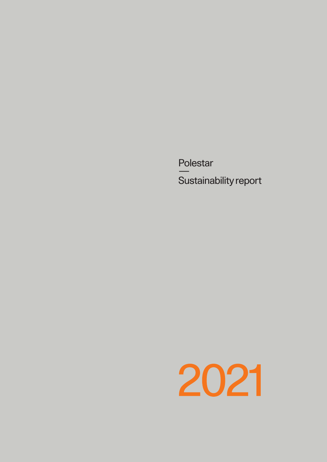Polestar  $\equiv$ Sustainability report

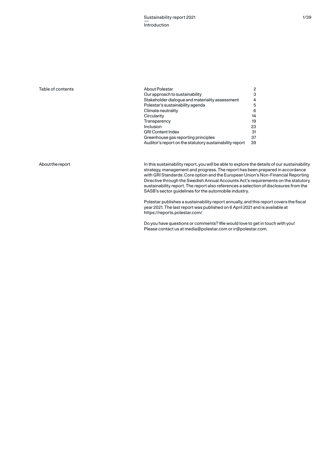# Table of contents

| About Polestar                                          | 2  |
|---------------------------------------------------------|----|
| Our approach to sustainability                          | 3  |
| Stakeholder dialoque and materiality assessment         | 4  |
| Polestar's sustainability agenda                        | 5  |
| Climate neutrality                                      | 6  |
| Circularity                                             | 14 |
| Transparency                                            | 19 |
| Inclusion                                               | 23 |
| <b>GRI Content Index</b>                                | 31 |
| Greenhouse gas reporting principles                     | 37 |
| Auditor's report on the statutory sustainability report | 39 |
|                                                         |    |

# About the report

In this sustainability report, you will be able to explore the details of our sustainability strategy, management and progress. The report has been prepared in accordance with GRI Standards: Core option and the European Union's Non-Financial Reporting Directive through the Swedish Annual Accounts Act's requirements on the statutory sustainability report. The report also references a selection of disclosures from the SASB's sector guidelines for the automobile industry.

Polestar publishes a sustainability report annually, and this report covers the fiscal year 2021. The last report was published on 6 April 2021 and is available at https://reports.polestar.com/

Do you have questions or comments? We would love to get in touch with you! Please contact us at media@polestar.com or ir@polestar.com.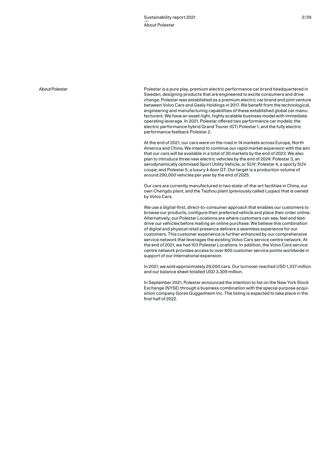### About Polestar

Polestar is a pure play, premium electric performance car brand headquartered in Sweden, designing products that are engineered to excite consumers and drive change. Polestar was established as a premium electric car brand and joint venture between Volvo Cars and Geely Holdings in 2017. We benefit from the technological, engineering and manufacturing capabilities of these established global car manufacturers. We have an asset-light, highly scalable business model with immediate operating leverage. In 2021, Polestar offered two performance car models: the electric performance hybrid Grand Tourer (GT) Polestar 1, and the fully electric performance fastback Polestar 2.

At the end of 2021, our cars were on the road in 14 markets across Europe, North America and China. We intend to continue our rapid market expansion with the aim that our cars will be available in a total of 30 markets by the end of 2023. We also plan to introduce three new electric vehicles by the end of 2024: Polestar 3, an aerodynamically optimised Sport Utility Vehicle, or SUV; Polestar 4, a sporty SUV coupe; and Polestar 5, a luxury 4 door GT. Our target is a production volume of around 290,000 vehicles per year by the end of 2025.

Our cars are currently manufactured in two state-of-the-art facilities in China, our own Chengdu plant, and the Taizhou plant (previously called Luqiao) that is owned by Volvo Cars.

We use a digital-first, direct-to-consumer approach that enables our customers to browse our products, configure their preferred vehicle and place their order online. Alternatively, our Polestar Locations are where customers can see, feel and testdrive our vehicles before making an online purchase. We believe this combination of digital and physical retail presence delivers a seamless experience for our customers. This customer experience is further enhanced by our comprehensive service network that leverages the existing Volvo Cars service centre network. At the end of 2021, we had 103 Polestar Locations. In addition, the Volvo Cars service centre network provides access to over 800 customer service points worldwide in support of our international expansion.

In 2021, we sold approximately 29,000 cars. Our turnover reached USD 1,337 million and our balance sheet totalled USD 3,309 million.

In September 2021, Polestar announced the intention to list on the New York Stock Exchange (NYSE) through a business combination with the special purpose acquisition company Gores Guggenheim Inc. The listing is expected to take place in the first half of 2022.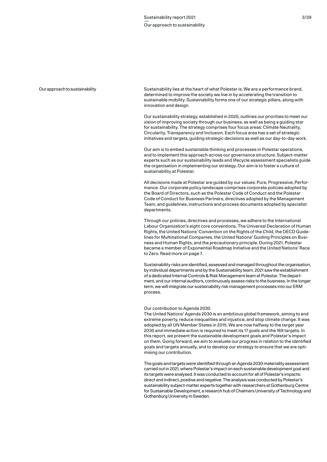#### Our approach to sustainability

Sustainability lies at the heart of what Polestar is. We are a performance brand, determined to improve the society we live in by accelerating the transition to sustainable mobility. Sustainability forms one of our strategic pillars, along with innovation and design.

Our sustainability strategy, established in 2020, outlines our priorities to meet our vision of improving society through our business, as well as being a guiding star for sustainability. The strategy comprises four focus areas: Climate Neutrality, Circularity, Transparency and Inclusion. Each focus area has a set of strategic initiatives and targets, guiding strategic decisions as well as our day-to-day work.

Our aim is to embed sustainable thinking and processes in Polestar operations, and to implement this approach across our governance structure. Subject-matter experts such as our sustainability leads and lifecycle assessment specialists guide the organisation in implementing our strategy. Our aim is to foster a culture of sustainability at Polestar.

All decisions made at Polestar are guided by our values: Pure, Progressive, Performance. Our corporate policy landscape comprises corporate policies adopted by the Board of Directors, such as the Polestar Code of Conduct and the Polestar Code of Conduct for Business Partners, directives adopted by the Management Team, and guidelines, instructions and process documents adopted by specialist departments.

Through our policies, directives and processes, we adhere to the International Labour Organization's eight core conventions, The Universal Declaration of Human Rights, the United Nations' Convention on the Rights of the Child, the OECD Guidelines for Multinational Companies, the United Nations' Guiding Principles on Business and Human Rights, and the precautionary principle. During 2021, Polestar became a member of Exponential Roadmap Initiative and the United Nations' Race to Zero. Read more on page 7.

Sustainability risks are identified, assessed and managed throughout the organisation, by individual departments and by the Sustainability team. 2021 saw the establishment of a dedicated Internal Controls & Risk Management team at Polestar. The department, and our internal auditors, continuously assess risks to the business. In the longer term, we will integrate our sustainability risk management processes into our ERM process.

## Our contribution to Agenda 2030

The United Nations' Agenda 2030 is an ambitious global framework, aiming to end extreme poverty, reduce inequalities and injustice, and stop climate change. It was adopted by all UN Member States in 2015. We are now halfway to the target year 2030 and immediate action is required to meet its 17 goals and the 169 targets. In this report, we present the sustainable development goals and Polestar's impact on them. Going forward, we aim to evaluate our progress in relation to the identified goals and targets annually, and to develop our strategy to ensure that we are optimising our contribution.

The goals and targets were identified through an Agenda 2030 materiality assessment carried out in 2021, where Polestar's impact on each sustainable development goal and its targets were analysed. It was conducted to account for all of Polestar's impacts: direct and indirect, positive and negative. The analysis was conducted by Polestar's sustainability subject-matter experts together with researchers at Gothenburg Centre for Sustainable Development, a research hub of Chalmers University of Technology and Gothenburg University in Sweden.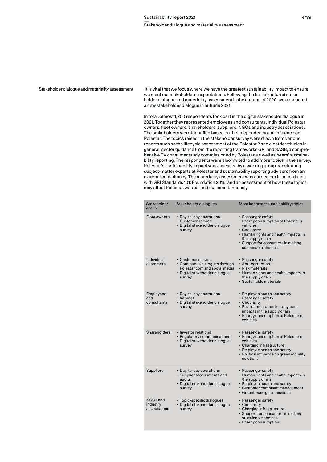### Stakeholder dialogue and materiality assessment

It is vital that we focus where we have the greatest sustainability impact to ensure we meet our stakeholders' expectations. Following the first structured stakeholder dialogue and materiality assessment in the autumn of 2020, we conducted a new stakeholder dialogue in autumn 2021.

In total, almost 1,200 respondents took part in the digital stakeholder dialogue in 2021. Together they represented employees and consultants, individual Polestar owners, fleet owners, shareholders, suppliers, NGOs and industry associations. The stakeholders were identified based on their dependency and influence on Polestar. The topics raised in the stakeholder survey were drawn from various reports such as the lifecycle assessment of the Polestar 2 and electric vehicles in general, sector guidance from the reporting frameworks GRI and SASB, a comprehensive EV consumer study commissioned by Polestar, as well as peers' sustainability reporting. The respondents were also invited to add more topics in the survey. Polestar's sustainability impact was assessed by a working group constituting subject-matter experts at Polestar and sustainability reporting advisers from an external consultancy. The materiality assessment was carried out in accordance with GRI Standards 101: Foundation 2016, and an assessment of how these topics may affect Polestar, was carried out simultaneously.

| Stakeholder<br>group                 | Stakeholder dialogues                                                                                                             | Most important sustainability topics                                                                                                                                                                          |
|--------------------------------------|-----------------------------------------------------------------------------------------------------------------------------------|---------------------------------------------------------------------------------------------------------------------------------------------------------------------------------------------------------------|
| <b>Fleet owners</b>                  | • Day-to-day operations<br>· Customer service<br>· Digital stakeholder dialoque<br>survey                                         | • Passenger safety<br>• Energy consumption of Polestar's<br>vehicles<br>· Circularity<br>• Human rights and health impacts in<br>the supply chain<br>· Support for consumers in making<br>sustainable choices |
| Individual<br>customers              | • Customer service<br>• Continuous dialogues through<br>Polestar.com and social media<br>· Digital stakeholder dialogue<br>survey | • Passenger safety<br>· Anti-corruption<br>· Risk materials<br>• Human rights and health impacts in<br>the supply chain<br>· Sustainable materials                                                            |
| Employees<br>and<br>consultants      | • Day-to-day operations<br>• Intranet<br>· Digital stakeholder dialogue<br>survey                                                 | • Employee health and safety<br>· Passenger safety<br>• Circularity<br>· Environmental and eco-system<br>impacts in the supply chain<br>• Energy consumption of Polestar's<br>vehicles                        |
| <b>Shareholders</b>                  | · Investor relations<br>• Regulatory communications<br>· Digital stakeholder dialogue<br>survey                                   | • Passenger safety<br>• Energy consumption of Polestar's<br>vehicles<br>· Charging infrastructure<br>• Employee health and safety<br>· Political influence on green mobility<br>solutions                     |
| <b>Suppliers</b>                     | • Day-to-day operations<br>· Supplier assessments and<br>audits<br>· Digital stakeholder dialogue<br>survey                       | • Passenger safety<br>• Human rights and health impacts in<br>the supply chain<br>• Employee health and safety<br>· Customer complaint management<br>· Greenhouse gas emissions                               |
| NGOs and<br>industry<br>associations | · Topic-specific dialogues<br>· Digital stakeholder dialogue<br>survey                                                            | • Passenger safety<br>• Circularity<br>· Charging infrastructure<br>· Support for consumers in making<br>sustainable choices<br>· Energy consumption                                                          |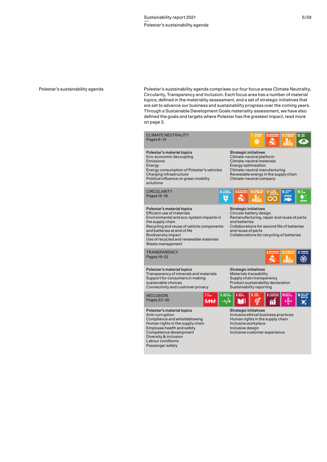### Polestar's sustainability agenda

Polestar's sustainability agenda comprises our four focus areas Climate Neutrality, Circularity, Transparency and Inclusion. Each focus area has a number of material topics, defined in the materiality assessment, and a set of strategic initiatives that are set to advance our business and sustainability progress over the coming years. Through a Sustainable Development Goals materiality assessment, we have also defined the goals and targets where Polestar has the greatest impact, read more on page 3.

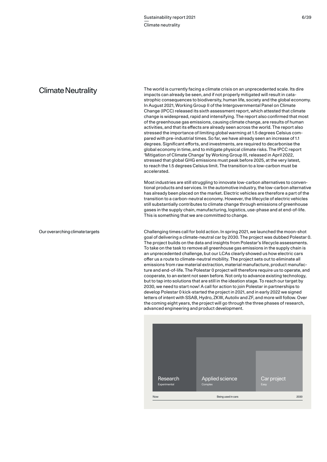# Climate Neutrality

Our overarching climate targets

The world is currently facing a climate crisis on an unprecedented scale. Its dire impacts can already be seen, and if not properly mitigated will result in catastrophic consequences to biodiversity, human life, society and the global economy. In August 2021, Working Group II of the Intergovernmental Panel on Climate Change (IPCC) released its sixth assessment report, which attested that climate change is widespread, rapid and intensifying. The report also confirmed that most of the greenhouse gas emissions, causing climate change, are results of human activities, and that its effects are already seen across the world. The report also stressed the importance of limiting global warming at 1.5 degrees Celsius compared with pre-industrial times. So far, we have already seen an increase of 1.1 degrees. Significant efforts, and investments, are required to decarbonise the global economy in time, and to mitigate physical climate risks. The IPCC report 'Mitigation of Climate Change' by Working Group III, released in April 2022, stressed that global GHG emissions must peak before 2025, at the very latest, to reach the 1.5 degrees Celsius limit. The transition to a low-carbon must be accelerated.

Most industries are still struggling to innovate low-carbon alternatives to conventional products and services. In the automotive industry, the low-carbon alternative has already been placed on the market. Electric vehicles are therefore a part of the transition to a carbon-neutral economy. However, the lifecycle of electric vehicles still substantially contributes to climate change through emissions of greenhouse gases in the supply chain, manufacturing, logistics, use-phase and at end-of-life. This is something that we are committed to change.

Challenging times call for bold action. In spring 2021, we launched the moon-shot goal of delivering a climate-neutral car by 2030. The project was dubbed Polestar 0. The project builds on the data and insights from Polestar's lifecycle assessments. To take on the task to remove all greenhouse gas emissions in the supply chain is an unprecedented challenge, but our LCAs clearly showed us how electric cars offer us a route to climate-neutral mobility. The project sets out to eliminate all emissions from raw material extraction, material manufacture, product manufacture and end-of-life. The Polestar 0 project will therefore require us to operate, and cooperate, to an extent not seen before. Not only to advance existing technology, but to tap into solutions that are still in the ideation stage. To reach our target by 2030, we need to start now! A call for action to join Polestar in partnerships to develop Polestar 0 kick-started the project in 2021, and in early 2022 we signed letters of intent with SSAB, Hydro, ZKW, Autoliv and ZF, and more will follow. Over the coming eight years, the project will go through the three phases of research, advanced engineering and product development.

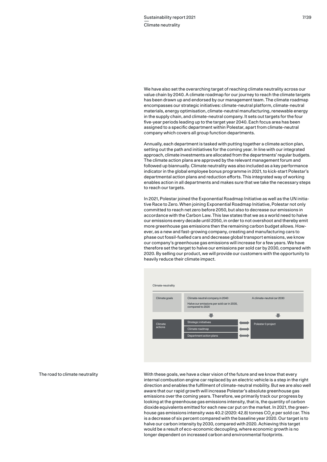We have also set the overarching target of reaching climate neutrality across our value chain by 2040. A climate roadmap for our journey to reach the climate targets has been drawn up and endorsed by our management team. The climate roadmap encompasses our strategic initiatives: climate-neutral platform, climate-neutral materials, energy optimisation, climate-neutral manufacturing, renewable energy in the supply chain, and climate-neutral company. It sets out targets for the four five-year periods leading up to the target year 2040. Each focus area has been assigned to a specific department within Polestar, apart from climate-neutral company which covers all group function departments.

Annually, each department is tasked with putting together a climate action plan, setting out the path and initiatives for the coming year. In line with our integrated approach, climate investments are allocated from the departments' regular budgets. The climate action plans are approved by the relevant management forum and followed up biannually. Climate neutrality was also included as a key performance indicator in the global employee bonus programme in 2021, to kick-start Polestar's departmental action plans and reduction efforts. This integrated way of working enables action in all departments and makes sure that we take the necessary steps to reach our targets.

In 2021, Polestar joined the Exponential Roadmap Initiative as well as the UN initiative Race to Zero. When joining Exponential Roadmap Initiative, Polestar not only committed to reach net zero before 2050, but also to decrease our emissions in accordance with the Carbon Law. This law states that we as a world need to halve our emissions every decade until 2050, in order to not overshoot and thereby emit more greenhouse gas emissions then the remaining carbon budget allows. However, as a new and fast-growing company, creating and manufacturing cars to phase out fossil-fuelled cars and decrease global transport emissions, we know our company's greenhouse gas emissions will increase for a few years. We have therefore set the target to halve our emissions per sold car by 2030, compared with 2020. By selling our product, we will provide our customers with the opportunity to heavily reduce their climate impact.



The road to climate neutrality

With these goals, we have a clear vision of the future and we know that every internal combustion engine car replaced by an electric vehicle is a step in the right direction and enables the fulfilment of climate-neutral mobility. But we are also well aware that our rapid growth will increase Polestar's absolute greenhouse gas emissions over the coming years. Therefore, we primarily track our progress by looking at the greenhouse gas emissions intensity, that is, the quantity of carbon dioxide equivalents emitted for each new car put on the market. In 2021, the greenhouse gas emissions intensity was 40.2 (2020: 42.8) tonnes CO $_{\rm 2}$ e per sold car. This is a decrease of six percent compared with the baseline year 2020. Our target is to halve our carbon intensity by 2030, compared with 2020. Achieving this target would be a result of eco-economic decoupling, where economic growth is no longer dependent on increased carbon and environmental footprints.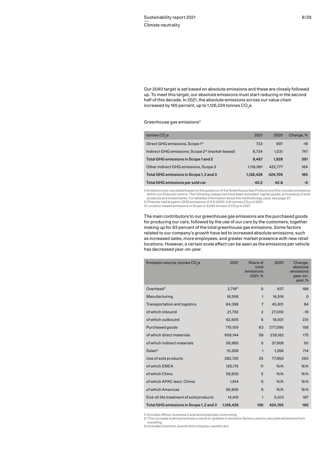Our 2040 target is set based on absolute emissions and these are closely followed up. To meet this target, our absolute emissions must start reducing in the second half of this decade. In 2021, the absolute emissions across our value chain increased by 165 percent, up to 1,126,224 tonnes CO<sub>2</sub>e.

 $G$ reenhouse gas emissions<sup>1)</sup>

| tonnes CO <sub>2</sub> e                                     | 2021      | 2020    | Change, % |
|--------------------------------------------------------------|-----------|---------|-----------|
| Direct GHG emissions, Scope 1 <sup>2)</sup>                  | 733       | 897     | $-18$     |
| Indirect GHG emissions, Scope 2 <sup>3)</sup> (market-based) | 8.734     | 1.031   | 747       |
| Total GHG emissions in Scope 1 and 2                         | 9.467     | 1.928   | 391       |
| Other indirect GHG emissions, Scope 3                        | 1,116,961 | 422,777 | 164       |
| Total GHG emissions in Scope 1, 2 and 3                      | 1,126,428 | 424.705 | 165       |
| Total GHG emissions per sold car                             | 40.2      | 42.8    | -6        |

1) Emissions are calculated based on the guidance of the Greenhouse Gas Protocol and this includes emissions within our financial control. The following categories have been excluded: capital goods, processing of sold products and investments. For detailed information about the methodology used, see page 37 polestar had biogenic GHG emissions of 0.6 (2020: 0.6) tonnes CO<sub>2</sub>e in 2021.

3) Location-based emissions in Scope 2: 9,640 tonnes of CO<sub>2</sub>e in 2021.

The main contributors to our greenhouse gas emissions are the purchased goods for producing our cars, followed by the use of our cars by the customers, together making up for 83 percent of the total greenhouse gas emissions. Some factors related to our company's growth have led to increased absolute emissions, such as increased sales, more employees, and greater market presence with new retail locations. However, a certain scale effect can be seen as the emissions per vehicle has decreased year-on-year.

| Emission source, tonnes CO <sub>2</sub> e | 2021        | Share of<br>total<br>emissions<br>2021, % | 2020    | Change,<br>absolute<br>emissions<br>year-on-<br>year, % |
|-------------------------------------------|-------------|-------------------------------------------|---------|---------------------------------------------------------|
| Overhead <sup>1)</sup>                    | $2.718^{2}$ | $\Omega$                                  | 937     | 188                                                     |
| Manufacturing                             | 16,558      | $\mathbf{1}$                              | 16,518  | $\mathbf 0$                                             |
| <b>Transportation and logistics</b>       | 84,398      | $\overline{7}$                            | 45,931  | 84                                                      |
| of which inbound                          | 21,793      | $\overline{2}$                            | 27,000  | $-19$                                                   |
| of which outbound                         | 62,605      | 6                                         | 18,931  | 231                                                     |
| Purchased goods                           | 715,109     | 63                                        | 277,090 | 158                                                     |
| of which direct materials                 | 658,144     | 58                                        | 239,182 | 175                                                     |
| of which indirect materials               | 56,965      | 5                                         | 37,908  | 50                                                      |
| Sales <sup>3</sup>                        | 10,306      | $\mathbf{1}$                              | 1,266   | 714                                                     |
| Use of sold products                      | 282,725     | 25                                        | 77,950  | 263                                                     |
| of which EMEA                             | 125,175     | 11                                        | N/A     | N/A                                                     |
| of which China                            | 59,830      | 5                                         | N/A     | N/A                                                     |
| of which APAC (excl. China)               | 1,914       | $\mathbf 0$                               | N/A     | N/A                                                     |
| of which Americas                         | 95,806      | 9                                         | N/A     | N/A                                                     |
| End-of-life treatment of sold products    | 14,410      | $\mathbf{1}$                              | 5,013   | 187                                                     |
| Total GHG emissions in Scope 1, 2 and 3   | 1,126,428   | 100                                       | 424,705 | 165                                                     |

1) Includes offices, business travel and employee commuting. 2) This increase is almost entirely a result of updates in emission factors used to calculate emissions from

travelling. 3) Includes locations, events and company-owned cars.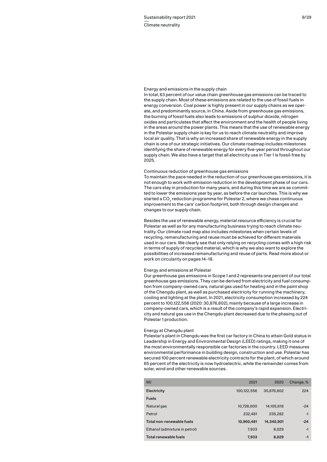#### Energy and emissions in the supply chain

In total, 63 percent of our value chain greenhouse gas emissions can be traced to the supply chain. Most of these emissions are related to the use of fossil fuels in energy conversion. Coal power is highly present in our supply chains as we operate, and predominantly source, in China. Aside from greenhouse gas emissions, the burning of fossil fuels also leads to emissions of sulphur dioxide, nitrogen oxides and particulates that affect the environment and the health of people living in the areas around the power plants. This means that the use of renewable energy in the Polestar supply chain is key for us to reach climate neutrality and improve local air quality. That is why an increased share of renewable energy in the supply chain is one of our strategic initiatives. Our climate roadmap includes milestones identifying the share of renewable energy for every five-year period throughout our supply chain. We also have a target that all electricity use in Tier 1 is fossil-free by 2025.

# Continuous reduction of greenhouse gas emissions

To maintain the pace needed in the reduction of our greenhouse gas emissions, it is not enough to work with emission reduction in the development phase of our cars. The cars stay in production for many years, and during this time we are as committed to lower the emissions year by year, as before the car launches. This is why we started a CO $_{\tiny 2}$  reduction programme for Polestar 2, where we chase continuous improvement to the cars' carbon footprint, both through design changes and changes to our supply chain.

Besides the use of renewable energy, material resource efficiency is crucial for Polestar as well as for any manufacturing business trying to reach climate neutrality. Our climate road map also includes milestones when certain levels of recycling, remanufacturing and reuse must be achieved for different materials used in our cars. We clearly see that only relying on recycling comes with a high risk in terms of supply of recycled material, which is why we also want to explore the possibilities of increased remanufacturing and reuse of parts. Read more about or work on circularity on pages 14–18.

# Energy and emissions at Polestar

Our greenhouse gas emissions in Scope 1 and 2 represents one percent of our total greenhouse gas emissions. They can be derived from electricity and fuel consumption from company-owned cars, natural gas used for heating and in the paint shop of the Chengdu plant, as well as purchased electricity for running the machinery, cooling and lighting at the plant. In 2021, electricity consumption increased by 224 percent to 100,122,556 (2020: 30,876,602), mainly because of a large increase in company-owned cars, which is a result of the company's rapid expansion. Electricity and natural gas use in the Chengdu plant decreased due to the phasing out of Polestar 1 production.

## Energy at Chengdu plant

Polestar's plant in Chengdu was the first car factory in China to attain Gold status in Leadership in Energy and Environmental Design (LEED) ratings, making it one of the most environmentally responsible car factories in the country. LEED measures environmental performance in building design, construction and use. Polestar has secured 100 percent renewable electricity contracts for the plant, of which around 65 percent of the electricity is now hydroelectric, while the remainder comes from solar, wind and other renewable sources.

| <b>MJ</b>                     | 2021        | 2020       | Change, % |
|-------------------------------|-------------|------------|-----------|
| Electricity                   | 100,122,556 | 30,876,602 | 224       |
| <b>Fuels</b>                  |             |            |           |
| Natural gas                   | 10,728,000  | 14,105,618 | $-24$     |
| Petrol                        | 232,481     | 235.282    | $-1$      |
| Total non-renewable fuels     | 10,960,481  | 14,340,901 | $-24$     |
| Ethanol (admixture in petrol) | 7,933       | 8.029      | $-1$      |
| Total renewable fuels         | 7,933       | 8,029      | -1        |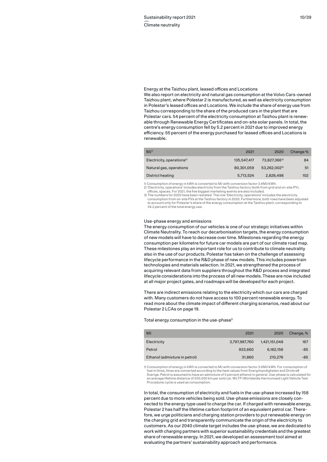### Energy at the Taizhou plant, leased offices and Locations

We also report on electricity and natural gas consumption at the Volvo Cars-owned Taizhou plant, where Polestar 2 is manufactured, as well as electricity consumption in Polestar's leased offices and Locations. We include the share of energy use from Taizhou corresponding to the share of the produced cars in the plant that are Polestar cars. 54 percent of the electricity consumption at Taizhou plant is renewable through Renewable Energy Certificates and on-site solar panels. In total, the centre's energy consumption fell by 5.2 percent in 2021 due to improved energy efficiency. 55 percent of the energy purchased for leased offices and Locations is renewable.

| MJ <sup>1</sup>                       | 2021        | 2020         | Change % |
|---------------------------------------|-------------|--------------|----------|
| Electricity, operations <sup>2)</sup> | 135.547.417 | 73,827,3663) | 84       |
| Natural gas, operations               | 80,301,059  | 53,262,0023) | 51       |
| District heating                      | 5,713,524   | 2,828,498    | 102      |

1) Consumption of energy in kWh is converted to MJ with conversion factor 3.6MJ/kWh.

2) 'Electricity, operations' includes electricity from the Taizhou factory (both from grid and on-site PV), offices, spaces. For 2021, the five biggest marketing events are also included.

3) The numbers for 2020 have been restated. The row 'Electricity, operations' includes the electricity consumption from on-site PVs at the Taizhou factory in 2020. Furthermore, both rows have been adjusted to account only for Polestar's share of the energy consumption at the Taizhou plant, corresponding to 34.2 percent of the total energy use.

#### Use-phase energy and emissions

The energy consumption of our vehicles is one of our strategic initiatives within Climate Neutrality. To reach our decarbonisation targets, the energy consumption of new models will have to decrease over time. Milestones regarding the energy consumption per kilometre for future car models are part of our climate road map. These milestones play an important role for us to contribute to climate neutrality also in the use of our products. Polestar has taken on the challenge of assessing lifecycle performance in the R&D phase of new models. This includes powertrain technologies and materials selection. In 2021, we strengthened the process of acquiring relevant data from suppliers throughout the R&D process and integrated lifecycle considerations into the process of all new models. These are now included at all major project gates, and roadmaps will be developed for each project.

There are indirect emissions relating to the electricity which our cars are charged with. Many customers do not have access to 100 percent renewable energy. To read more about the climate impact of different charging scenarios, read about our Polestar 2 LCAs on page 19.

## Total energy consumption in the use-phase<sup>1)</sup>

| <b>MJ</b>                     | 2021          | 2020          | Change, % |
|-------------------------------|---------------|---------------|-----------|
| Electricity                   | 3,797,987,760 | 1,421,151,048 | 167       |
| Petrol                        | 933,660       | 6.162.156     | $-85$     |
| Ethanol (admixture in petrol) | 31,860        | 210,276       | $-85$     |

1) Consumption of energy in kWh is converted to MJ with conversion factor 3.6MJ/kWh. For consumption of fuel in litres, litres are converted according to the heat values from Energimyndigheten and Drivkraft Sverige. Petrol is assumed to have an admixture of 5 percent ethanol in general. Use-phase is calculated for an average lifetime distance of 200,000 km per sold car. WLTP (Worldwide Harmonised Light Vehicle Test Procedure) cycle is used as consumption.

In total, the consumption of electricity and fuels in the use-phase increased by 158 percent due to more vehicles being sold. Use-phase emissions are closely connected to the energy type used to charge the car. If charged with renewable energy, Polestar 2 has half the lifetime carbon footprint of an equivalent petrol car. Therefore, we urge politicians and charging station providers to put renewable energy on the charging grid and transparently communicate the origin of the electricity to customers. As our 2040 climate target includes the use-phase, we are dedicated to work with charging partners with superior sustainability credentials and the greatest share of renewable energy. In 2021, we developed an assessment tool aimed at evaluating the partners' sustainability approach and performance.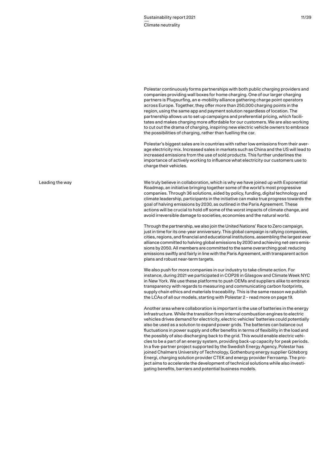Polestar continuously forms partnerships with both public charging providers and companies providing wall boxes for home charging. One of our larger charging partners is Plugsurfing, an e-mobility alliance gathering charge point operators across Europe. Together, they offer more than 250,000 charging points in the region, using the same app and payment solution regardless of location. The partnership allows us to set up campaigns and preferential pricing, which facilitates and makes charging more affordable for our customers. We are also working to cut out the drama of charging, inspiring new electric vehicle owners to embrace the possibilities of charging, rather than fuelling the car.

Polestar's biggest sales are in countries with rather low emissions from their average electricity mix. Increased sales in markets such as China and the US will lead to increased emissions from the use of sold products. This further underlines the importance of actively working to influence what electricity our customers use to charge their vehicles.

We truly believe in collaboration, which is why we have joined up with Exponential Roadmap, an initiative bringing together some of the world's most progressive companies. Through 36 solutions, aided by policy, funding, digital technology and climate leadership, participants in the initiative can make true progress towards the goal of halving emissions by 2030, as outlined in the Paris Agreement. These actions will be crucial to hold off some of the worst impacts of climate change, and avoid irreversible damage to societies, economies and the natural world.

Through the partnership, we also join the United Nations' Race to Zero campaign, just in time for its one-year anniversary. This global campaign is rallying companies, cities, regions, and financial and educational institutions, assembling the largest ever alliance committed to halving global emissions by 2030 and achieving net-zero emissions by 2050. All members are committed to the same overarching goal: reducing emissions swiftly and fairly in line with the Paris Agreement, with transparent action plans and robust near-term targets.

We also push for more companies in our industry to take climate action. For instance, during 2021 we participated in COP26 in Glasgow and Climate Week NYC in New York. We use these platforms to push OEMs and suppliers alike to embrace transparency with regards to measuring and communicating carbon footprints, supply chain ethics and materials traceability. This is the same reason we publish the LCAs of all our models, starting with Polestar 2 – read more on page 19.

Another area where collaboration is important is the use of batteries in the energy infrastructure. While the transition from internal combustion engines to electric vehicles drives demand for electricity, electric vehicles' batteries could potentially also be used as a solution to expand power grids. The batteries can balance out fluctuations in power supply and offer benefits in terms of flexibility in the load and the possibly of also discharging back to the grid. This would enable electric vehicles to be a part of an energy system, providing back-up capacity for peak periods. In a five-partner project supported by the Swedish Energy Agency, Polestar has joined Chalmers University of Technology, Gothenburg energy supplier Göteborg Energi, charging solution provider CTEK and energy provider Ferroamp. The project aims to accelerate the development of technical solutions while also investigating benefits, barriers and potential business models.

Leading the way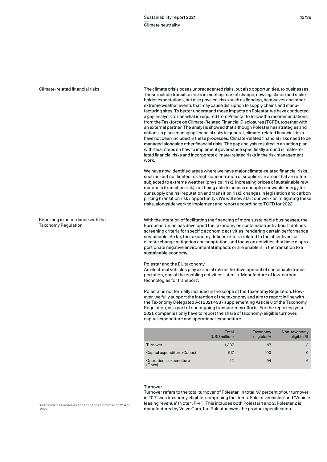#### Climate-related financial risks

Reporting in accordance with the

Taxonomy Regulation

The climate crisis poses unprecedented risks, but also opportunities, to businesses. These include transition risks in meeting market change, new legislation and stakeholder expectations, but also physical risks such as flooding, heatwaves and other extreme weather events that may cause disruption to supply chains and manufacturing sites. To better understand these impacts on Polestar, we have conducted a gap analysis to see what is required from Polestar to follow the recommendations from the Taskforce on Climate-Related Financial Disclosures (TCFD), together with an external partner. The analysis showed that although Polestar has strategies and actions in place managing financial risks in general, climate-related financial risks have not been included in these processes. Climate-related financial risks need to be managed alongside other financial risks. The gap analysis resulted in an action plan with clear steps on how to implement governance specifically around climate-related financial risks and incorporate climate-related risks in the risk management work.

We have now identified areas where we have major climate-related financial risks. such as (but not limited to): high concentration of suppliers in areas that are often subjected to extreme weather (physical risk), increasing prices of sustainable raw materials (transition risk), not being able to access enough renewable energy for our supply chains (reputation and transition risk), changes in legislation and carbon pricing (transition risk / opportunity). We will now start our work on mitigating these risks, alongside work to implement and report according to TCFD for 2022.

With the intention of facilitating the financing of more sustainable businesses, the European Union has developed the taxonomy on sustainable activities. It defines screening criteria for specific economic activities, rendering certain performance sustainable. So far, the taxonomy defines criteria related to the objectives for climate change mitigation and adaptation, and focus on activities that have disproportionate negative environmental impacts or are enablers in the transition to a sustainable economy.

## Polestar and the EU taxonomy

As electrical vehicles play a crucial role in the development of sustainable transportation, one of the enabling activities listed is 'Manufacture of low-carbon technologies for transport'.

Polestar is not formally included in the scope of the Taxonomy Regulation. However, we fully support the intention of the taxonomy and aim to report in line with the Taxonomy Delegated Act 2021:4987 supplementing Article 8 of the Taxonomy Regulation, as a part of our ongoing transparency efforts. For the reporting year 2021, companies only have to report the share of taxonomy-eligible turnover, capital expenditure and operational expenditure.

|                                   | Total<br>(USD million) | Taxonomy<br>eligible, % | Non-taxonomy<br>eligible, % |
|-----------------------------------|------------------------|-------------------------|-----------------------------|
| Turnover                          | 1,337                  | 97                      | 3                           |
| Capital expenditure (Capex)       | 517                    | 100                     | $\Omega$                    |
| Operational expenditure<br>(Opex) | 22                     | 94                      | 6                           |

# Turnover

Turnover refers to the total turnover of Polestar. In total, 97 percent of our turnover in 2021 was taxonomy eligible, comprising the items 'Sale of vechicles' and 'Vehicle leasing revenue' (Note 1, F-4<sup>1)</sup>. This includes both Polestar 1 and 2. Polestar 2 is manufactured by Volvo Cars, but Polestar owns the product specification.

1 Filed with the Securities and Exchange Commission 21 April 2022.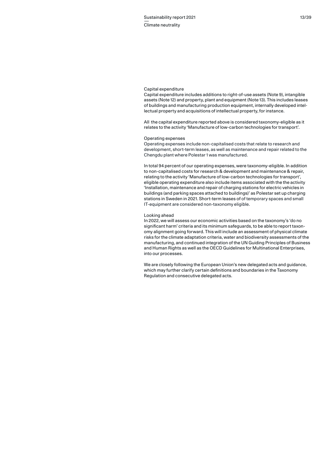### Capital expenditure

Capital expenditure includes additions to right-of-use assets (Note 9), intangible assets (Note 12) and property, plant and equipment (Note 13). This includes leases of buildings and manufacturing production equipment, internally developed intellectual property and acquisitions of intellectual property, for instance.

All the capital expenditure reported above is considered taxonomy-eligible as it relates to the activity 'Manufacture of low-carbon technologies for transport'.

# Operating expenses

Operating expenses include non-capitalised costs that relate to research and development, short-term leases, as well as maintenance and repair related to the Chengdu plant where Polestar 1 was manufactured.

In total 94 percent of our operating expenses, were taxonomy-eligible. In addition to non-capitalised costs for research & development and maintenance & repair, relating to the activity 'Manufacture of low-carbon technologies for transport', eligible operating expenditure also include items associated with the the activity 'Installation, maintenance and repair of charging stations for electric vehicles in buildings (and parking spaces attached to buildings)' as Polestar set up charging stations in Sweden in 2021. Short-term leases of of temporary spaces and small IT-equipment are considered non-taxonomy eligible.

### Looking ahead

In 2022, we will assess our economic activities based on the taxonomy's 'do no significant harm' criteria and its minimum safeguards, to be able to report taxonomy alignment going forward. This will include an assessment of physical climate risks for the climate adaptation criteria, water and biodiversity assessments of the manufacturing, and continued integration of the UN Guiding Principles of Business and Human Rights as well as the OECD Guidelines for Multinational Enterprises, into our processes.

We are closely following the European Union's new delegated acts and guidance, which may further clarify certain definitions and boundaries in the Taxonomy Regulation and consecutive delegated acts.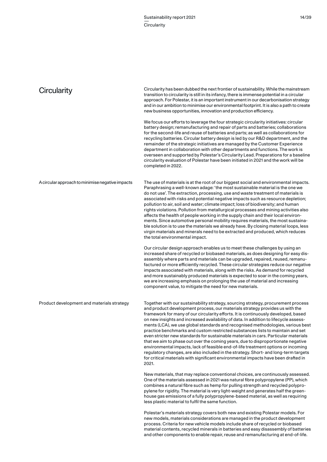| Circularity                                      | Circularity has been dubbed the next frontier of sustainability. While the mainstream<br>transition to circularity is still in its infancy, there is immense potential in a circular<br>approach. For Polestar, it is an important instrument in our decarbonisation strategy<br>and in our ambition to minimise our environmental footprint. It is also a path to create<br>new business opportunities, innovation and production efficiency.                                                                                                                                                                                                                                                                                                                                                                                                                                                                                                                             |
|--------------------------------------------------|----------------------------------------------------------------------------------------------------------------------------------------------------------------------------------------------------------------------------------------------------------------------------------------------------------------------------------------------------------------------------------------------------------------------------------------------------------------------------------------------------------------------------------------------------------------------------------------------------------------------------------------------------------------------------------------------------------------------------------------------------------------------------------------------------------------------------------------------------------------------------------------------------------------------------------------------------------------------------|
|                                                  | We focus our efforts to leverage the four strategic circularity initiatives: circular<br>battery design; remanufacturing and repair of parts and batteries; collaborations<br>for the second-life and reuse of batteries and parts; as well as collaborations for<br>recycling batteries. Circular battery design is led by our R&D department, and the<br>remainder of the strategic initiatives are managed by the Customer Experience<br>department in collaboration with other departments and functions. The work is<br>overseen and supported by Polestar's Circularity Lead. Preparations for a baseline<br>circularity evaluation of Polestar have been initiated in 2021 and the work will be<br>completed in 2022.                                                                                                                                                                                                                                               |
| A circular approach to minimise negative impacts | The use of materials is at the root of our biggest social and environmental impacts.<br>Paraphrasing a well-known adage: 'the most sustainable material is the one we<br>do not use'. The extraction, processing, use and waste treatment of materials is<br>associated with risks and potential negative impacts such as resource depletion;<br>pollution to air, soil and water; climate impact; loss of biodiversity; and human<br>rights violations. Pollution from metallurgical processes and mining activities also<br>affects the health of people working in the supply chain and their local environ-<br>ments. Since automotive personal mobility requires materials, the most sustaina-<br>ble solution is to use the materials we already have. By closing material loops, less<br>virgin materials and minerals need to be extracted and produced, which reduces<br>the total environmental impact.                                                          |
|                                                  | Our circular design approach enables us to meet these challenges by using an<br>increased share of recycled or biobased materials, as does designing for easy dis-<br>assembly where parts and materials can be upgraded, repaired, reused, remanu-<br>factured or more efficiently recycled. These circular strategies reduce our negative<br>impacts associated with materials, along with the risks. As demand for recycled<br>and more sustainably produced materials is expected to soar in the coming years,<br>we are increasing emphasis on prolonging the use of material and increasing<br>component value, to mitigate the need for new materials.                                                                                                                                                                                                                                                                                                              |
| Product development and materials strategy       | Together with our sustainability strategy, sourcing strategy, procurement process<br>and product development process, our materials strategy provides us with the<br>framework for many of our circularity efforts. It is continuously developed, based<br>on new insights and increased availability of data. In addition to lifecycle assess-<br>ments (LCA), we use global standards and recognised methodologies, various best<br>practice benchmarks and custom restricted substances lists to maintain and set<br>even stricter new standards for sustainable materials in cars. Particular materials<br>that we aim to phase out over the coming years, due to disproportionate negative<br>environmental impacts, lack of feasible end-of-life treatment options or incoming<br>regulatory changes, are also included in the strategy. Short- and long-term targets<br>for critical materials with significant environmental impacts have been drafted in<br>2021. |
|                                                  | New materials, that may replace conventional choices, are continuously assessed.<br>One of the materials assessed in 2021 was natural fibre polypropylene (PP), which<br>combines a natural fibre such as hemp for pulling strength and recycled polypro-<br>pylene for rigidity. The material is very light-weight and generates half the green-<br>house gas emissions of a fully polypropylene-based material, as well as requiring<br>less plastic material to fulfil the same function.                                                                                                                                                                                                                                                                                                                                                                                                                                                                               |
|                                                  | Polestar's materials strategy covers both new and existing Polestar models. For<br>new models, materials considerations are managed in the product development<br>process. Criteria for new vehicle models include share of recycled or biobased                                                                                                                                                                                                                                                                                                                                                                                                                                                                                                                                                                                                                                                                                                                           |

material contents, recycled minerals in batteries and easy disassembly of batteries and other components to enable repair, reuse and remanufacturing at end-of-life.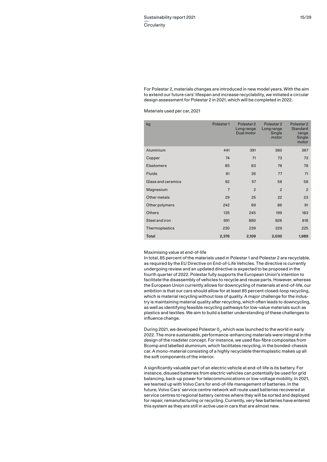For Polestar 2, materials changes are introduced in new model years. With the aim to extend our future cars' lifespan and increase recyclability, we initiated a circular design assessment for Polestar 2 in 2021, which will be completed in 2022.

Materials used per car, 2021

| kg                 | Polestar1      | Polestar <sub>2</sub><br>Long range<br>Dual motor | Polestar <sub>2</sub><br>Long range<br>Single<br>motor | Polestar <sub>2</sub><br><b>Standard</b><br>range<br>Single<br>motor |
|--------------------|----------------|---------------------------------------------------|--------------------------------------------------------|----------------------------------------------------------------------|
| Aluminium          | 441            | 391                                               | 380                                                    | 367                                                                  |
| Copper             | 74             | 71                                                | 73                                                     | 73                                                                   |
| <b>Elastomers</b>  | 85             | 83                                                | 78                                                     | 78                                                                   |
| <b>Fluids</b>      | 81             | 26                                                | 77                                                     | 71                                                                   |
| Glass and ceramics | 62             | 57                                                | 58                                                     | 58                                                                   |
| Magnesium          | $\overline{7}$ | $\overline{2}$                                    | $\overline{2}$                                         | $\overline{2}$                                                       |
| Other metals       | 29             | 25                                                | 22                                                     | 23                                                                   |
| Other polymers     | 242            | 89                                                | 86                                                     | 91                                                                   |
| <b>Others</b>      | 135            | 245                                               | 199                                                    | 183                                                                  |
| Steel and iron     | 991            | 880                                               | 826                                                    | 818                                                                  |
| Thermoplastics     | 230            | 239                                               | 229                                                    | 225                                                                  |
| <b>Total</b>       | 2,376          | 2,109                                             | 2,030                                                  | 1,989                                                                |

## Maximising value at end-of-life

In total, 85 percent of the materials used in Polestar 1 and Polestar 2 are recyclable, as required by the EU Directive on End-of-Life Vehicles. The directive is currently undergoing review and an updated directive is expected to be proposed in the fourth quarter of 2022. Polestar fully supports the European Union's intention to facilitate the disassembly of vehicles to recycle and reuse parts. However, whereas the European Union currently allows for downcycling of materials at end-of-life, our ambition is that our cars should allow for at least 85 percent closed-loop recycling, which is material recycling without loss of quality. A major challenge for the industry is maintaining material quality after recycling, which often leads to downcycling, as well as identifying feasible recycling pathways for low-value materials such as plastics and textiles. We aim to build a better understanding of these challenges to influence change.

During 2021, we developed Polestar 0<sub>2</sub>, which was launched to the world in early 2022. The more sustainable, performance-enhancing materials were integral in the design of the roadster concept. For instance, we used flax-fibre composites from Bcomp and labelled aluminium, which facilitates recycling, in the bonded-chassis car. A mono-material consisting of a highly recyclable thermoplastic makes up all the soft components of the interior.

A significantly valuable part of an electric vehicle at end-of-life is its battery. For instance, disused batteries from electric vehicles can potentially be used for grid balancing, back-up power for telecommunications or low-voltage mobility. In 2021, we teamed up with Volvo Cars for end-of-life management of batteries. In the future, Volvo Cars' service centre network will route used batteries recovered at service centres to regional battery centres where they will be sorted and deployed for repair, remanufacturing or recycling. Currently, very few batteries have entered this system as they are still in active use in cars that are almost new.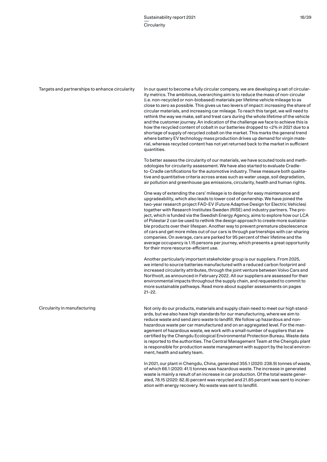Targets and partnerships to enhance circularity

In our quest to become a fully circular company, we are developing a set of circularity metrics. The ambitious, overarching aim is to reduce the mass of non-circular (i.e. non-recycled or non-biobased) materials per lifetime vehicle mileage to as close to zero as possible. This gives us two levers of impact: increasing the share of circular materials, and increasing car mileage. To reach this target, we will need to rethink the way we make, sell and treat cars during the whole lifetime of the vehicle and the customer journey. An indication of the challenge we face to achieve this is how the recycled content of cobalt in our batteries dropped to <2% in 2021 due to a shortage of supply of recycled cobalt on the market. This marks the general trend where battery EV technology mass production drives up demand for virgin material, whereas recycled content has not yet returned back to the market in sufficient quantities.

To better assess the circularity of our materials, we have scouted tools and methodologies for circularity assessment. We have also started to evaluate Cradleto-Cradle certifications for the automotive industry. These measure both qualitative and quantitative criteria across areas such as water usage, soil degradation, air pollution and greenhouse gas emissions, circularity, health and human rights.

One way of extending the cars' mileage is to design for easy maintenance and upgradeability, which also leads to lower cost of ownership. We have joined the two-year research project FAD-EV (Future Adaptive Design for Electric Vehicles) together with Research Institutes Sweden (RISE) and industry partners. The project, which is funded via the Swedish Energy Agency, aims to explore how our LCA of Polestar 2 can be used to rethink the design approach to create more sustainable products over their lifespan. Another way to prevent premature obsolescence of cars and get more miles out of our cars is through partnerships with car-sharing companies. On average, cars are parked for 95 percent of their lifetime and the average occupancy is 1.15 persons per journey, which presents a great opportunity for their more resource-efficient use.

Another particularly important stakeholder group is our suppliers. From 2025, we intend to source batteries manufactured with a reduced carbon footprint and increased circularity attributes, through the joint venture between Volvo Cars and Northvolt, as announced in February 2022. All our suppliers are assessed for their environmental impacts throughout the supply chain, and requested to commit to more sustainable pathways. Read more about supplier assessments on pages 21–22.

Circularity in manufacturing

Not only do our products, materials and supply chain need to meet our high standards, but we also have high standards for our manufacturing, where we aim to reduce waste and send zero waste to landfill. We follow up hazardous and nonhazardous waste per car manufactured and on an aggregated level. For the management of hazardous waste, we work with a small number of suppliers that are certified by the Chengdu Ecological Environmental Protection Bureau. Waste data is reported to the authorities. The Central Management Team at the Chengdu plant is responsible for production waste management with support by the local environment, health and safety team.

In 2021, our plant in Chengdu, China, generated 355.1 (2020: 238.9) tonnes of waste, of which 66.1 (2020: 41.1) tonnes was hazardous waste. The increase in generated waste is mainly a result of an increase in car production. Of the total waste generated, 78.15 (2020: 82.8) percent was recycled and 21.85 percent was sent to incineration with energy recovery. No waste was sent to landfill.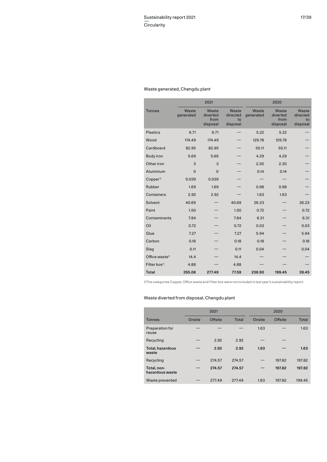# Waste generated, Chengdu plant

|                            |                    | 2021                                  |                                     |                    | 2020                                  |                                     |
|----------------------------|--------------------|---------------------------------------|-------------------------------------|--------------------|---------------------------------------|-------------------------------------|
| <b>Tonnes</b>              | Waste<br>generated | Waste<br>diverted<br>from<br>disposal | Waste<br>directed<br>to<br>disposal | Waste<br>generated | Waste<br>diverted<br>from<br>disposal | Waste<br>directed<br>to<br>disposal |
| <b>Plastics</b>            | 6.71               | 6.71                                  |                                     | 5.22               | 5.22                                  |                                     |
| Wood                       | 174.49             | 174.49                                |                                     | 129.78             | 129.78                                |                                     |
| Cardboard                  | 82.95              | 82.95                                 |                                     | 55.11              | 55.11                                 |                                     |
| Body iron                  | 5.69               | 5.69                                  |                                     | 4.29               | 4.29                                  |                                     |
| Other iron                 | 3                  | 3                                     |                                     | 2.30               | 2.30                                  |                                     |
| Aluminium                  | $\overline{0}$     | $\Omega$                              |                                     | 0.14               | 0.14                                  |                                     |
| Copper <sup>1)</sup>       | 0.039              | 0.039                                 |                                     |                    |                                       |                                     |
| Rubber                     | 1.69               | 1.69                                  |                                     | 0.98               | 0.98                                  |                                     |
| Containers                 | 2.92               | 2.92                                  |                                     | 1.63               | 1.63                                  |                                     |
| Solvent                    | 40.69              |                                       | 40.69                               | 26.23              |                                       | 26.23                               |
| Paint                      | 1.50               |                                       | 1.50                                | 0.72               |                                       | 0.72                                |
| Contaminants               | 7.84               |                                       | 7.84                                | 6.31               |                                       | 6.31                                |
| Oil                        | 0.72               |                                       | 0.72                                | 0.03               |                                       | 0.03                                |
| Glue                       | 7.27               |                                       | 7.27                                | 5.94               |                                       | 5.94                                |
| Carbon                     | 0.18               |                                       | 0.18                                | 0.18               |                                       | 0.18                                |
| Slag                       | 0.11               |                                       | 0.11                                | 0.04               |                                       | 0.04                                |
| Office waste <sup>1)</sup> | 14.4               |                                       | 14.4                                |                    |                                       |                                     |
| Filter box <sup>1)</sup>   | 4.88               |                                       | 4.88                                |                    |                                       |                                     |
| <b>Total</b>               | 355.08             | 277.49                                | 77.59                               | 238.90             | 199.45                                | 39.45                               |

1)The categories Copper, Office waste and Filter box were not included in last year's sustainability report.

# Waste diverted from disposal, Chengdu plant

|                                | 2021   |         |        | 2020   |         |        |
|--------------------------------|--------|---------|--------|--------|---------|--------|
| <b>Tonnes</b>                  | Onsite | Offsite | Total  | Onsite | Offsite | Total  |
| Preparation for<br>reuse       |        |         |        | 1.63   |         | 1.63   |
| Recycling                      |        | 2.92    | 2.92   |        |         |        |
| Total, hazardous<br>waste      |        | 2.92    | 2.92   | 1.63   |         | 1.63   |
| Recycling                      |        | 274.57  | 274.57 |        | 197.82  | 197.82 |
| Total, non-<br>hazardous waste |        | 274.57  | 274.57 |        | 197.82  | 197.82 |
| Waste prevented                |        | 277.49  | 277.49 | 1.63   | 197.82  | 199.45 |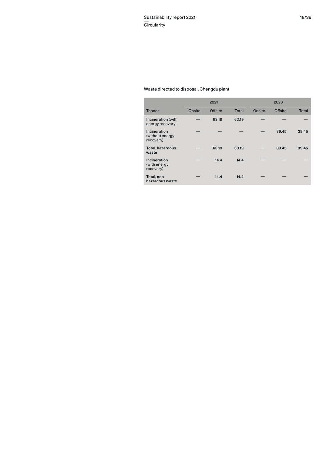# Waste directed to disposal, Chengdu plant

|                                              |        | 2021    |       |        | 2020    |       |
|----------------------------------------------|--------|---------|-------|--------|---------|-------|
| <b>Tonnes</b>                                | Onsite | Offsite | Total | Onsite | Offsite | Total |
| Incineration (with<br>energy recovery)       |        | 63.19   | 63.19 |        |         |       |
| Incineration<br>(without energy<br>recovery) |        |         |       |        | 39.45   | 39.45 |
| Total, hazardous<br>waste                    |        | 63.19   | 63.19 |        | 39.45   | 39.45 |
| Incineration<br>(with energy<br>recovery)    |        | 14.4    | 14.4  |        |         |       |
| Total, non-<br>hazardous waste               |        | 14.4    | 14.4  |        |         |       |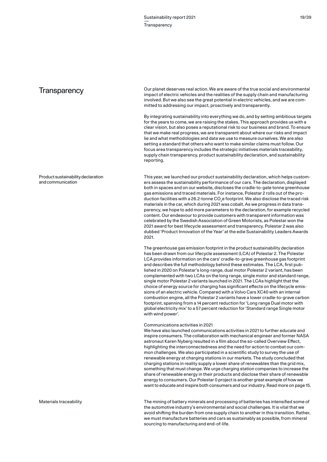reporting.

# **Transparency**

Product sustainability declaration and communication

This year, we launched our product sustainability declaration, which helps customers assess the sustainability performance of our cars. The declaration, displayed both in spaces and on our website, discloses the cradle-to-gate tonne greenhouse gas emissions and traced materials. For instance, Polestar 2 rolls out of the production facilities with a 26.2-tonne CO $_2$ e footprint. We also disclose the traced risk materials in the car, which during 2021 was cobalt. As we progress in data transparency, we hope to add more parameters to the declaration, for example recycled content. Our endeavour to provide customers with transparent information was celebrated by the Swedish Association of Green Motorists, as Polestar won the 2021 award for best lifecycle assessment and transparency. Polestar 2 was also dubbed 'Product Innovation of the Year' at the edie Sustainability Leaders Awards 2021.

Our planet deserves real action. We are aware of the true social and environmental impact of electric vehicles and the realities of the supply chain and manufacturing involved. But we also see the great potential in electric vehicles, and we are com-

By integrating sustainability into everything we do, and by setting ambitious targets for the years to come, we are raising the stakes. This approach provides us with a clear vision, but also poses a reputational risk to our business and brand. To ensure that we make real progress, we are transparent about where our risks and impact lie and what methodologies and data we use to measure ourselves. We are also setting a standard that others who want to make similar claims must follow. Our focus area transparency includes the strategic initiatives materials traceability, supply chain transparency, product sustainability declaration, and sustainability

mitted to addressing our impact, proactively and transparently.

The greenhouse gas emission footprint in the product sustainability declaration has been drawn from our lifecycle assessment (LCA) of Polestar 2. The Polestar LCA provides information on the cars' cradle-to-grave greenhouse gas footprint and describes the full methodology behind these estimates. The LCA, first published in 2020 on Polestar's long-range, dual motor Polestar 2 variant, has been complemented with two LCAs on the long range, single motor and standard range, single motor Polestar 2 variants launched in 2021. The LCAs highlight that the choice of energy source for charging has significant effects on the lifecycle emissions of an electric vehicle. Compared with a Volvo Cars XC40 with an internal combustion engine, all the Polestar 2 variants have a lower cradle-to-grave carbon footprint, spanning from a 14 percent reduction for 'Long range Dual motor with global electricity mix' to a 57 percent reduction for 'Standard range Single motor with wind power'.

## Communications activities in 2021

We have also launched communications activities in 2021 to further educate and inspire consumers. The collaboration with mechanical engineer and former NASA astronaut Karen Nyberg resulted in a film about the so-called Overview Effect, highlighting the interconnectedness and the need for action to combat our common challenges. We also participated in a scientific study to survey the use of renewable energy at charging stations in our markets. The study concluded that charging stations in reality supply a lower share of renewables than the grid mix, something that must change. We urge charging station companies to increase the share of renewable energy in their products and disclose their share of renewable energy to consumers. Our Polestar 0 project is another great example of how we want to educate and inspire both consumers and our industry. Read more on page 15.

The mining of battery minerals and processing of batteries has intensified some of the automotive industry's environmental and social challenges. It is vital that we avoid shifting the burden from one supply chain to another in this transition. Rather, we must manufacture batteries and cars as sustainably as possible, from mineral sourcing to manufacturing and end-of-life.

Materials traceability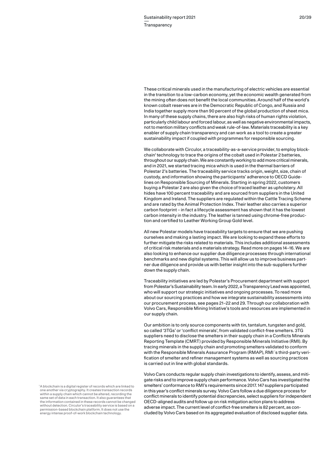These critical minerals used in the manufacturing of electric vehicles are essential in the transition to a low-carbon economy, yet the economic wealth generated from the mining often does not benefit the local communities. Around half of the world's known cobalt reserves are in the Democratic Republic of Congo, and Russia and India together supply more than 90 percent of the global production of sheet mica. In many of these supply chains, there are also high risks of human rights violation, particularly child labour and forced labour, as well as negative environmental impacts, not to mention military conflicts and weak rule-of-law. Materials traceability is a key enabler of supply chain transparency and can work as a tool to create a greater sustainability impact if coupled with programmes for responsible sourcing.

We collaborate with Circulor, a traceability-as-a-service provider, to employ blockchain<sup>1</sup> technology to trace the origins of the cobalt used in Polestar 2 batteries, throughout our supply chain. We are constantly working to add more critical minerals, and in 2021, we started tracing mica which is used in the thermal barriers of Polestar 2's batteries. The traceability service tracks origin, weight, size, chain of custody, and information showing the participants' adherence to OECD Guidelines on Responsible Sourcing of Minerals. Starting in spring 2022, customers buying a Polestar 2 are also given the choice of traced leather as upholstery. All hides have 100 percent traceability and are sourced from suppliers in the United Kingdom and Ireland. The suppliers are regulated within the Cattle Tracing Scheme and are rated by the Animal Protection Index. Their leather also carries a superior carbon footprint – in fact a lifecycle assessment has shown that it has the lowest carbon intensity in the industry. The leather is tanned using chrome-free production and certified to Leather Working Group Gold level.

All new Polestar models have traceability targets to ensure that we are pushing ourselves and making a lasting impact. We are looking to expand these efforts to further mitigate the risks related to materials. This includes additional assessments of critical risk materials and a materials strategy. Read more on pages 14–16. We are also looking to enhance our supplier due diligence processes through international benchmarks and new digital systems. This will allow us to improve business partner due diligence and provide us with better insight into the sub-suppliers further down the supply chain.

Traceability initiatives are led by Polestar's Procurement department with support from Polestar's Sustainability team. In early 2022, a Transparency Lead was appointed, who will support our strategic initiatives and ongoing processes. To read more about our sourcing practices and how we integrate sustainability assessments into our procurement process, see pages 21–22 and 29. Through our collaboration with Volvo Cars, Responsible Mining Initiative's tools and resources are implemented in our supply chain.

Our ambition is to only source components with tin, tantalum, tungsten and gold, so called '3TGs' or 'conflict minerals', from validated conflict-free smelters. 3TG suppliers need to disclose the smelters in their supply chain in a Conflicts Minerals Reporting Template (CMRT) provided by Responsible Minerals Initiative (RMI). By tracing minerals in the supply chain and promoting smelters validated to conform with the Responsible Minerals Assurance Program (RMAP), RMI´s third-party verification of smelter and refiner management systems as well as sourcing practices is carried out in line with global standards.

Volvo Cars conducts regular supply chain investigations to identify, assess, and mitigate risks and to improve supply chain performance. Volvo Cars has investigated the smelters' conformance to RMI's requirements since 2017. 147 suppliers participated in this year's conflict minerals survey. Volvo Cars follow a due diligence process for conflict minerals to identify potential discrepancies, select suppliers for independent OECD-aligned audits and follow up on risk mitigation action plans to address adverse impact. The current level of conflict-free smelters is 82 percent, as concluded by Volvo Cars based on its aggregated evaluation of disclosed supplier data.

<sup>1</sup>A blockchain is a digital register of records which are linked to one another via cryptography. It creates transaction records within a supply chain which cannot be altered, recording the same set of data in each transaction. It also guarantees that the information contained in these records cannot be changed without detection. Circulor's traceability service is based on a permission-based blockchain platform. It does not use the energy intense proof-of-work blockchain technology.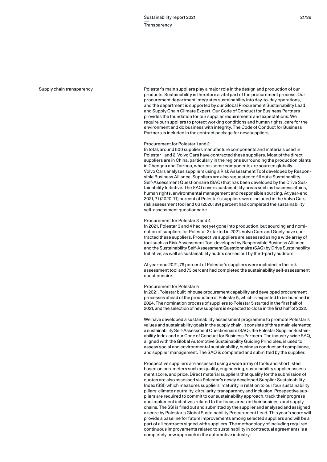#### Supply chain transparency

Polestar's main suppliers play a major role in the design and production of our products. Sustainability is therefore a vital part of the procurement process. Our procurement department integrates sustainability into day-to-day operations, and the department is supported by our Global Procurement Sustainability Lead and Supply Chain Climate Expert. Our Code of Conduct for Business Partners provides the foundation for our supplier requirements and expectations. We require our suppliers to protect working conditions and human rights, care for the environment and do business with integrity. The Code of Conduct for Business Partners is included in the contract package for new suppliers.

# Procurement for Polestar 1 and 2

In total, around 500 suppliers manufacture components and materials used in Polestar 1 and 2. Volvo Cars have contracted these suppliers. Most of the direct suppliers are in China, particularly in the regions surrounding the production plants in Chengdu and Taizhou, whereas some components are sourced globally. Volvo Cars analyses suppliers using a Risk Assessment Tool developed by Responsible Business Alliance. Suppliers are also requested to fill out a Sustainability Self-Assessment Questionnaire (SAQ) that has been developed by the Drive Sustainability Initiative. The SAQ covers sustainability areas such as business ethics, human rights, environmental management and responsible sourcing. At year-end 2021, 71 (2020: 71) percent of Polestar's suppliers were included in the Volvo Cars risk assessment tool and 63 (2020: 89) percent had completed the sustainability self-assessment questionnaire.

# Procurement for Polestar 3 and 4

In 2021, Polestar 3 and 4 had not yet gone into production, but sourcing and nomination of suppliers for Polestar 3 started in 2021. Volvo Cars and Geely have contracted these suppliers. Prospective suppliers are assessed using a wide array of tool such as Risk Assessment Tool developed by Responsible Business Alliance and the Sustainability Self-Assessment Questionnaire (SAQ) by Drive Sustainability Initiative, as well as sustainability audits carried out by third-party auditors.

At year-end 2021, 79 percent of Polestar's suppliers were included in the risk assessment tool and 73 percent had completed the sustainability self-assessment questionnaire.

#### Procurement for Polestar 5

In 2021, Polestar built inhouse procurement capability and developed procurement processes ahead of the production of Polestar 5, which is expected to be launched in 2024. The nomination process of suppliers to Polestar 5 started in the first half of 2021, and the selection of new suppliers is expected to close in the first half of 2022.

We have developed a sustainability assessment programme to promote Polestar's values and sustainability goals in the supply chain. It consists of three main elements: a sustainability Self-Assessment Questionnaire (SAQ), the Polestar Supplier Sustainability Index and our Code of Conduct for Business Partners. The industry-wide SAQ, aligned with the Global Automotive Sustainability Guiding Principles, is used to assess social and environmental sustainability, business conduct and compliance, and supplier management. The SAQ is completed and submitted by the supplier.

Prospective suppliers are assessed using a wide array of tools and shortlisted based on parameters such as quality, engineering, sustainability supplier assessment score, and price. Direct material suppliers that qualify for the submission of quotes are also assessed via Polestar's newly developed Supplier Sustainability Index (SSI) which measures suppliers' maturity in relation to our four sustainability pillars: climate neutrality, circularity, transparency and inclusion. Prospective suppliers are required to commit to our sustainability approach, track their progress and implement initiatives related to the focus areas in their business and supply chains. The SSI is filled out and submitted by the supplier and analysed and assigned a score by Polestar's Global Sustainability Procurement Lead. This year's score will provide a baseline for future improvements among selected suppliers and will be a part of all contracts signed with suppliers. The methodology of including required continuous improvements related to sustainability in contractual agreements is a completely new approach in the automotive industry.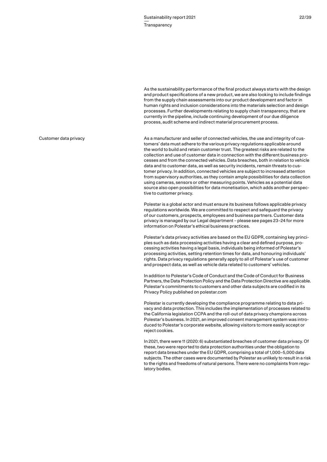As the sustainability performance of the final product always starts with the design and product specifications of a new product, we are also looking to include findings from the supply chain assessments into our product development and factor in human rights and inclusion considerations into the materials selection and design processes. Further developments relating to supply chain transparency, that are currently in the pipeline, include continuing development of our due diligence process, audit scheme and indirect material procurement process.

As a manufacturer and seller of connected vehicles, the use and integrity of customers' data must adhere to the various privacy regulations applicable around the world to build and retain customer trust. The greatest risks are related to the collection and use of customer data in connection with the different business processes and from the connected vehicles. Data breaches, both in relation to vehicle data and to customer data, as well as security incidents, remain threats to customer privacy. In addition, connected vehicles are subject to increased attention from supervisory authorities, as they contain ample possibilities for data collection using cameras, sensors or other measuring points. Vehicles as a potential data source also open possibilities for data monetisation, which adds another perspective to customer privacy.

Polestar is a global actor and must ensure its business follows applicable privacy regulations worldwide. We are committed to respect and safeguard the privacy of our customers, prospects, employees and business partners. Customer data privacy is managed by our Legal department – please see pages 23–24 for more information on Polestar's ethical business practices.

Polestar's data privacy activities are based on the EU GDPR, containing key principles such as data processing activities having a clear and defined purpose, processing activities having a legal basis, individuals being informed of Polestar's processing activities, setting retention times for data, and honouring individuals' rights. Data privacy regulations generally apply to all of Polestar's use of customer and prospect data, as well as vehicle data related to customers' vehicles.

In addition to Polestar's Code of Conduct and the Code of Conduct for Business Partners, the Data Protection Policy and the Data Protection Directive are applicable. Polestar's commitments to customers and other data subjects are codified in its Privacy Policy published on polestar.com

Polestar is currently developing the compliance programme relating to data privacy and data protection. This includes the implementation of processes related to the California legislation CCPA and the roll-out of data privacy champions across Polestar's business. In 2021, an improved consent management system was introduced to Polestar's corporate website, allowing visitors to more easily accept or reject cookies.

In 2021, there were 11 (2020: 6) substantiated breaches of customer data privacy. Of these, two were reported to data protection authorities under the obligation to report data breaches under the EU GDPR, comprising a total of 1,000–5,000 data subjects. The other cases were documented by Polestar as unlikely to result in a risk to the rights and freedoms of natural persons. There were no complaints from regulatory bodies.

# Customer data privacy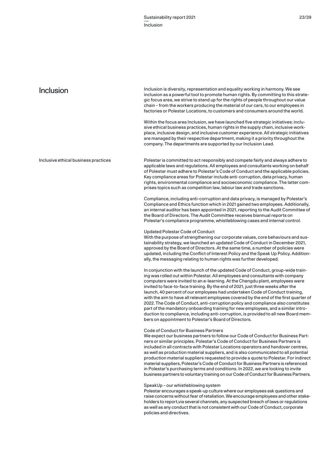| Inclusion                            | Inclusion is diversity, representation and equality working in harmony. We see<br>inclusion as a powerful tool to promote human rights. By committing to this strate-<br>gic focus area, we strive to stand up for the rights of people throughout our value<br>chain – from the workers producing the material of our cars, to our employees in<br>factories or Polestar Locations, to customers and consumers around the world.<br>Within the focus area Inclusion, we have launched five strategic initiatives: inclu-<br>sive ethical business practices, human rights in the supply chain, inclusive work-<br>place, inclusive design, and inclusive customer experience. All strategic initiatives<br>are managed by their respective department, making it a priority throughout the<br>company. The departments are supported by our Inclusion Lead. |
|--------------------------------------|--------------------------------------------------------------------------------------------------------------------------------------------------------------------------------------------------------------------------------------------------------------------------------------------------------------------------------------------------------------------------------------------------------------------------------------------------------------------------------------------------------------------------------------------------------------------------------------------------------------------------------------------------------------------------------------------------------------------------------------------------------------------------------------------------------------------------------------------------------------|
| Inclusive ethical business practices | Polestar is committed to act responsibly and compete fairly and always adhere to<br>applicable laws and regulations. All employees and consultants working on behalf<br>of Polestar must adhere to Polestar's Code of Conduct and the applicable policies.<br>Key compliance areas for Polestar include anti-corruption, data privacy, human<br>rights, environmental compliance and socioeconomic compliance. The latter com-<br>prises topics such as competition law, labour law and trade sanctions.                                                                                                                                                                                                                                                                                                                                                     |
|                                      | Compliance, including anti-corruption and data privacy, is managed by Polestar's<br>Compliance and Ethics function which in 2021 gained two employees. Additionally,<br>an internal auditor has been appointed in 2021, reporting to the Audit Committee of<br>the Board of Directors. The Audit Committee receives biannual reports on<br>Polestar's compliance programme, whistleblowing cases and internal control.                                                                                                                                                                                                                                                                                                                                                                                                                                       |
|                                      | <b>Updated Polestar Code of Conduct</b><br>With the purpose of strengthening our corporate values, core behaviours and sus-<br>tainability strategy, we launched an updated Code of Conduct in December 2021,<br>approved by the Board of Directors. At the same time, a number of policies were<br>updated, including the Conflict of Interest Policy and the Speak Up Policy. Addition-<br>ally, the messaging relating to human rights was further developed.                                                                                                                                                                                                                                                                                                                                                                                             |
|                                      | In conjunction with the launch of the updated Code of Conduct, group-wide train-<br>ing was rolled out within Polestar. All employees and consultants with company<br>computers were invited to an e-learning. At the Chengdu plant, employees were<br>invited to face-to-face training. By the end of 2021, just three weeks after the<br>launch, 40 percent of our employees had undertaken Code of Conduct training,<br>with the aim to have all relevant employees covered by the end of the first quarter of                                                                                                                                                                                                                                                                                                                                            |

2022. The Code of Conduct, anti-corruption policy and compliance also constitutes part of the mandatory onboarding training for new employees, and a similar introduction to compliance, including anti-corruption, is provided to all new Board members on appointment to Polestar's Board of Directors.

# Code of Conduct for Business Partners

We expect our business partners to follow our Code of Conduct for Business Partners or similar principles. Polestar's Code of Conduct for Business Partners is included in all contracts with Polestar Locations operators and handover centres, as well as production material suppliers, and is also communicated to all potential production material suppliers requested to provide a quote to Polestar. For indirect material suppliers, Polestar's Code of Conduct for Business Partners is referenced in Polestar's purchasing terms and conditions. In 2022, we are looking to invite business partners to voluntary training on our Code of Conduct for Business Partners.

# SpeakUp – our whistleblowing system

Polestar encourages a speak-up culture where our employees ask questions and raise concerns without fear of retaliation. We encourage employees and other stakeholders to report,via several channels, any suspected breach of laws or regulations as well as any conduct that is not consistent with our Code of Conduct, corporate policies and directives.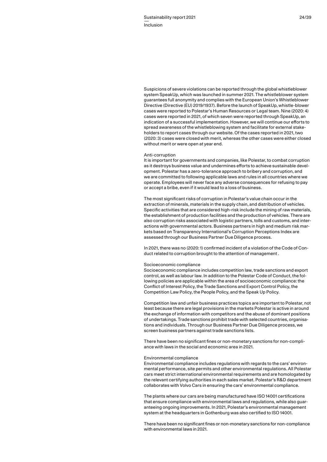Suspicions of severe violations can be reported through the global whistleblower system SpeakUp, which was launched in summer 2021. The whistleblower system guarantees full anonymity and complies with the European Union's Whistleblower Directive (Directive (EU) 2019/1937). Before the launch of SpeakUp, whistle-blower cases were reported to Polestar's Human Resources or Legal team. Nine (2020: 4) cases were reported in 2021, of which seven were reported through SpeakUp, an indication of a successful implementation. However, we will continue our efforts to spread awareness of the whistleblowing system and facilitate for external stakeholders to report cases through our website. Of the cases reported in 2021, two (2020: 3) cases were closed with merit, whereas the other cases were either closed without merit or were open at year end.

#### Anti-corruption

It is important for governments and companies, like Polestar, to combat corruption as it destroys business value and undermines efforts to achieve sustainable development. Polestar has a zero-tolerance approach to bribery and corruption, and we are committed to following applicable laws and rules in all countries where we operate. Employees will never face any adverse consequences for refusing to pay or accept a bribe, even if it would lead to a loss of business.

The most significant risks of corruption in Polestar's value chain occur in the extraction of minerals, materials in the supply chain, and distribution of vehicles. Specific activities that are considered high-risk include the mining of raw materials, the establishment of production facilities and the production of vehicles. There are also corruption risks associated with logistic partners, tolls and customs, and interactions with governmental actors. Business partners in high and medium risk markets based on Transparency International's Corruption Perceptions Index are assessed through our Business Partner Due Diligence process.

In 2021, there was no (2020: 1) confirmed incident of a violation of the Code of Conduct related to corruption brought to the attention of management .

#### Socioeconomic compliance

Socioeconomic compliance includes competition law, trade sanctions and export control, as well as labour law. In addition to the Polestar Code of Conduct, the following policies are applicable within the area of socioeconomic compliance: the Conflict of Interest Policy, the Trade Sanctions and Export Control Policy, the Competition Law Policy, the People Policy, and the Speak Up Policy.

Competition law and unfair business practices topics are important to Polestar, not least because there are legal provisions in the markets Polestar is active in around the exchange of information with competitors and the abuse of dominant positions of undertakings. Trade sanctions prohibit trade with selected countries, organisations and individuals. Through our Business Partner Due Diligence process, we screen business partners against trade sanctions lists.

There have been no significant fines or non-monetary sanctions for non-compliance with laws in the social and economic area in 2021.

#### Environmental compliance

Environmental compliance includes regulations with regards to the cars' environmental performance, site permits and other environmental regulations. All Polestar cars meet strict international environmental requirements and are homologated by the relevant certifying authorities in each sales market. Polestar's R&D department collaborates with Volvo Cars in ensuring the cars' environmental compliance.

The plants where our cars are being manufactured have ISO 14001 certifications that ensure compliance with environmental laws and regulations, while also guaranteeing ongoing improvements. In 2021, Polestar's environmental management system at the headquarters in Gothenburg was also certified to ISO 14001.

There have been no significant fines or non-monetary sanctions for non-compliance with environmental laws in 2021.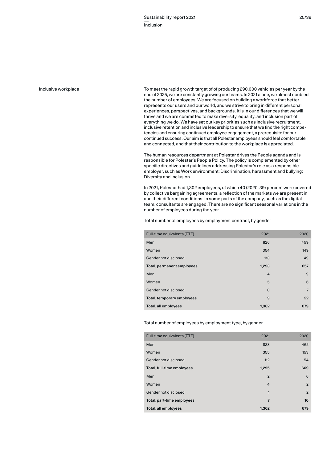### Inclusive workplace

To meet the rapid growth target of of producing 290,000 vehicles per year by the end of 2025, we are constantly growing our teams. In 2021 alone, we almost doubled the number of employees. We are focused on building a workforce that better represents our users and our world, and we strive to bring in different personal experiences, perspectives, and backgrounds. It is in our differences that we will thrive and we are committed to make diversity, equality, and inclusion part of everything we do. We have set out key priorities such as inclusive recruitment, inclusive retention and inclusive leadership to ensure that we find the right competencies and ensuring continued employee engagement, a prerequisite for our continued success. Our aim is that all Polestar employees should feel comfortable and connected, and that their contribution to the workplace is appreciated.

The human resources department at Polestar drives the People agenda and is responsible for Polestar's People Policy. The policy is complemented by other specific directives and guidelines addressing Polestar's role as a responsible employer, such as Work environment; Discrimination, harassment and bullying; Diversity and inclusion.

In 2021, Polestar had 1,302 employees, of which 40 (2020: 39) percent were covered by collective bargaining agreements, a reflection of the markets we are present in and their different conditions. In some parts of the company, such as the digital team, consultants are engaged. There are no significant seasonal variations in the number of employees during the year.

Total number of employees by employment contract, by gender

| Full-time equivalents (FTE) | 2021        | 2020           |
|-----------------------------|-------------|----------------|
| Men                         | 826         | 459            |
| Women                       | 354         | 149            |
| Gender not disclosed        | 113         | 49             |
| Total, permanent employees  | 1,293       | 657            |
| Men                         | 4           | 9              |
| Women                       | 5           | 6              |
| Gender not disclosed        | $\mathbf 0$ | $\overline{7}$ |
| Total, temporary employees  | 9           | 22             |
| Total, all employees        | 1,302       | 679            |

Total number of employees by employment type, by gender

| Full-time equivalents (FTE) | 2021           | 2020           |
|-----------------------------|----------------|----------------|
| Men                         | 828            | 462            |
| Women                       | 355            | 153            |
| Gender not disclosed        | 112            | 54             |
| Total, full-time employees  | 1,295          | 669            |
| Men                         | $\overline{2}$ | 6              |
| Women                       | $\overline{4}$ | $\overline{2}$ |
| Gender not disclosed        | 1              | 2              |
| Total, part-time employees  | $\overline{7}$ | 10             |
| Total, all employees        | 1,302          | 679            |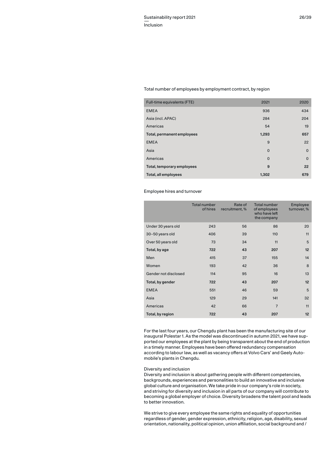## Total number of employees by employment contract, by region

| Full-time equivalents (FTE) | 2021        | 2020     |
|-----------------------------|-------------|----------|
| <b>EMEA</b>                 | 936         | 434      |
| Asia (incl. APAC)           | 284         | 204      |
| Americas                    | 54          | 19       |
| Total, permanent employees  | 1,293       | 657      |
| <b>EMEA</b>                 | 9           | 22       |
| Asia                        | $\mathbf 0$ | $\Omega$ |
| Americas                    | $\mathbf 0$ | $\Omega$ |
| Total, temporary employees  | 9           | 22       |
| Total, all employees        | 1,302       | 679      |

# Employee hires and turnover

|                      | <b>Total number</b><br>of hires | Rate of<br>recruitment, % | <b>Total number</b><br>of employees<br>who have left<br>the company | Employee<br>turnover, % |
|----------------------|---------------------------------|---------------------------|---------------------------------------------------------------------|-------------------------|
| Under 30 years old   | 243                             | 56                        | 86                                                                  | 20                      |
| 30-50 years old      | 406                             | 39                        | 110                                                                 | 11                      |
| Over 50 years old    | 73                              | 34                        | 11                                                                  | 5                       |
| Total, by age        | 722                             | 43                        | 207                                                                 | 12                      |
| Men                  | 415                             | 37                        | 155                                                                 | 14                      |
| Women                | 193                             | 42                        | 36                                                                  | 8                       |
| Gender not disclosed | 114                             | 95                        | 16                                                                  | 13                      |
| Total, by gender     | 722                             | 43                        | 207                                                                 | 12                      |
| <b>EMEA</b>          | 551                             | 46                        | 59                                                                  | 5                       |
| Asia                 | 129                             | 29                        | 141                                                                 | 32                      |
| Americas             | 42                              | 66                        | $\overline{7}$                                                      | 11                      |
| Total, by region     | 722                             | 43                        | 207                                                                 | 12                      |

For the last four years, our Chengdu plant has been the manufacturing site of our inaugural Polestar 1. As the model was discontinued in autumn 2021, we have supported our employees at the plant by being transparent about the end of production in a timely manner. Employees have been offered redundancy compensation according to labour law, as well as vacancy offers at Volvo Cars' and Geely Automobile's plants in Chengdu.

# Diversity and inclusion

Diversity and inclusion is about gathering people with different competencies, backgrounds, experiences and personalities to build an innovative and inclusive global culture and organisation. We take pride in our company's role in society, and striving for diversity and inclusion in all parts of our company will contribute to becoming a global employer of choice. Diversity broadens the talent pool and leads to better innovation.

We strive to give every employee the same rights and equality of opportunities regardless of gender, gender expression, ethnicity, religion, age, disability, sexual orientation, nationality, political opinion, union affiliation, social background and /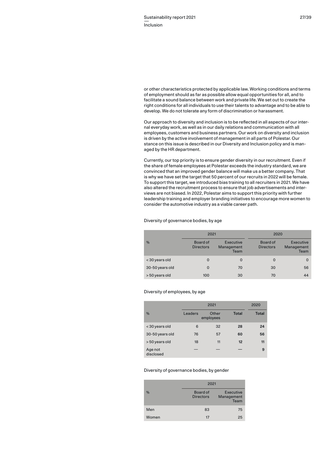or other characteristics protected by applicable law. Working conditions and terms of employment should as far as possible allow equal opportunities for all, and to facilitate a sound balance between work and private life. We set out to create the right conditions for all individuals to use their talents to advantage and to be able to develop. We do not tolerate any form of discrimination or harassment.

Our approach to diversity and inclusion is to be reflected in all aspects of our internal everyday work, as well as in our daily relations and communication with all employees, customers and business partners. Our work on diversity and inclusion is driven by the active involvement of management in all parts of Polestar. Our stance on this issue is described in our Diversity and Inclusion policy and is managed by the HR department.

Currently, our top priority is to ensure gender diversity in our recruitment. Even if the share of female employees at Polestar exceeds the industry standard, we are convinced that an improved gender balance will make us a better company. That is why we have set the target that 50 percent of our recruits in 2022 will be female. To support this target, we introduced bias training to all recruiters in 2021. We have also altered the recruitment process to ensure that job advertisements and interviews are not biased. In 2022, Polestar aims to support this priority with further leadership training and employer branding initiatives to encourage more women to consider the automotive industry as a viable career path.

# Diversity of governance bodies, by age

|                 | 2021                         |                                 | 2020                         |                                 |
|-----------------|------------------------------|---------------------------------|------------------------------|---------------------------------|
| $\frac{0}{0}$   | Board of<br><b>Directors</b> | Executive<br>Management<br>Team | Board of<br><b>Directors</b> | Executive<br>Management<br>Team |
| < 30 years old  | $\Omega$                     | $\Omega$                        | 0                            | 0                               |
| 30-50 years old | $\Omega$                     | 70                              | 30                           | 56                              |
| > 50 years old  | 100                          | 30                              | 70                           | 44                              |

# Diversity of employees, by age

|                      | 2021    |                    | 2020         |              |
|----------------------|---------|--------------------|--------------|--------------|
| $\frac{0}{0}$        | Leaders | Other<br>employees | <b>Total</b> | <b>Total</b> |
| < 30 years old       | 6       | 32                 | 28           | 24           |
| 30-50 years old      | 76      | 57                 | 60           | 56           |
| > 50 years old       | 18      | 11                 | 12           | 11           |
| Age not<br>disclosed |         |                    |              | 9            |

# Diversity of governance bodies, by gender

|               | 2021                         |                                 |
|---------------|------------------------------|---------------------------------|
| $\frac{0}{0}$ | Board of<br><b>Directors</b> | Executive<br>Management<br>Team |
| Men           | 83                           | 75                              |
| Women         | 17                           | 25                              |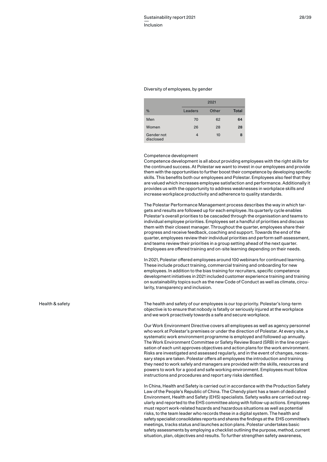#### Diversity of employees, by gender

|                         |         | 2021  |              |
|-------------------------|---------|-------|--------------|
| %                       | Leaders | Other | <b>Total</b> |
| Men                     | 70      | 62    | 64           |
| Women                   | 26      | 28    | 28           |
| Gender not<br>disclosed | 4       | 10    | 8            |

# Competence development

Competence development is all about providing employees with the right skills for the continued success. At Polestar we want to invest in our employees and provide them with the opportunities to further boost their competence by developing specific skills. This benefits both our employees and Polestar. Employees also feel that they are valued which increases employee satisfaction and performance. Additionally it provides us with the opportunity to address weaknesses in workplace skills and increase workplace productivity and adherence to quality standards.

The Polestar Performance Management process describes the way in which targets and results are followed up for each employee. Its quarterly cycle enables Polestar's overall priorities to be cascaded through the organisation and teams to individual employee priorities. Employees set a handful of priorities and discuss them with their closest manager. Throughout the quarter, employees share their progress and receive feedback, coaching and support. Towards the end of the quarter, employees review their individual priorities and perform self-assessment, and teams review their priorities in a group setting ahead of the next quarter. Employees are offered training and on-site learning depending on their needs.

In 2021, Polestar offered employees around 100 webinars for continued learning. These include product training, commercial training and onboarding for new employees. In addition to the bias training for recruiters, specific competence development initiatives in 2021 included customer experience training and training on sustainability topics such as the new Code of Conduct as well as climate, circularity, transparency and inclusion.

The health and safety of our employees is our top priority. Polestar's long-term objective is to ensure that nobody is fatally or seriously injured at the workplace and we work proactively towards a safe and secure workplace.

Our Work Environment Directive covers all employees as well as agency personnel who work at Polestar's premises or under the direction of Polestar. At every site, a systematic work environment programme is employed and followed up annually. The Work Environment Committee or Safety Review Board (SRB) in the line organisation of each unit approves objectives and action plans for the work environment. Risks are investigated and assessed regularly, and in the event of changes, necessary steps are taken. Polestar offers all employees the introduction and training they need to work safely and managers are provided with the skills, resources and powers to work for a good and safe working environment. Employees must follow instructions and procedures and report any risks identified.

In China, Health and Safety is carried out in accordance with the Production Safety Law of the People's Republic of China. The Chendy plant has a team of dedicated Environment, Health and Safety (EHS) specialists. Safety walks are carried out regularly and reported to the EHS committee along with follow-up actions. Employees must report work-related hazards and hazardous situations as well as potential risks, to the team leader who records these in a digital system. The health and safety specialist consolidates reports and shares the findings at the EHS committee's meetings, tracks status and launches action plans. Polestar undertakes basic safety assessments by employing a checklist outlining the purpose, method, current situation, plan, objectives and results. To further strengthen safety awareness,

Health & safety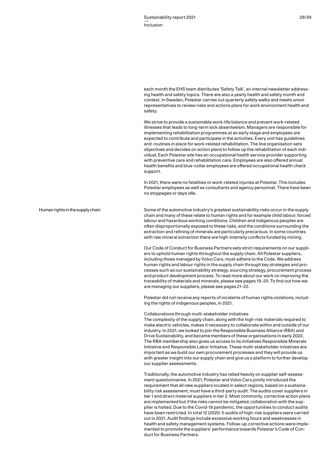each month the EHS team distributes 'Safety Talk', an internal newsletter addressing health and safety topics. There are also a yearly health and safety month and contest. In Sweden, Polestar carries out quarterly safety walks and meets union representatives to review risks and actions plans for work environment health and safety.

We strive to provide a sustainable work-life balance and prevent work-related illnesses that leads to long-term sick absenteeism. Managers are responsible for implementing rehabilitation programmes at an early stage and employees are expected to contribute and participate in the activities. Every unit has guidelines and routines in place for work-related rehabilitation. The line organisation sets objectives and decides on action plans to follow up the rehabilitation of each individual. Each Polestar site has an occupational health service provider supporting with preventive care and rehabilitation care. Employees are also offered annual health benefits and blue-collar employees are offered occupational health check support.

In 2021, there were no fatalities or work-related injuries at Polestar. This includes Polestar employees as well as consultants and agency personnel. There have been no stoppages or days idle.

# Human rights in the supply chain

Some of the automotive industry's greatest sustainability risks occur in the supply chain and many of these relate to human rights and for example child labour, forced labour and hazardous working conditions. Children and indigenous peoples are often disproportionally exposed to these risks, and the conditions surrounding the extraction and refining of minerals are particularly precarious. In some countries with raw mineral extraction there are high-intensity conflicts funded by mining.

Our Code of Conduct for Business Partners sets strict requirements on our suppliers to uphold human rights throughout the supply chain. All Polestar suppliers, including those managed by Volvo Cars, must adhere to the Code. We address human rights and labour rights in the supply chain through key strategies and processes such as our sustainability strategy, sourcing strategy, procurement process and product development process. To read more about our work on improving the traceability of materials and minerals, please see pages 19–20. To find out how we are managing our suppliers, please see pages 21–22.

Polestar did not receive any reports of incidents of human rights violations, including the rights of indigenous peoples, in 2021.

### Collaborations through multi-stakeholder initiatives

The complexity of the supply chain, along with the high-risk materials required to make electric vehicles, makes it necessary to collaborate within and outside of our industry. In 2021, we looked to join the Responsible Business Alliance (RBA) and Drive Sustainability, and became members of these organisations in early 2022. The RBA membership also gives us access to its initiatives Responsible Minerals Initiative and Responsible Labor Initiative. These multi-stakeholder initiatives are important as we build our own procurement processes and they will provide us with greater insight into our supply chain and give us a platform to further develop our supplier assessments.

Traditionally, the automotive industry has relied heavily on supplier self-assessment questionnaires. In 2021, Polestar and Volvo Cars jointly introduced the requirement that all new suppliers located in select regions, based on a sustainability risk assessment, must have a third-party audit. The audits cover suppliers in tier 1 and direct material suppliers in tier 2. Most commonly, corrective action plans are implemented but if the risks cannot be mitigated, collaboration with the supplier is halted. Due to the Covid-19 pandemic, the opportunities to conduct audits have been restricted. In total 12 (2020: 1) audits of high-risk suppliers were carried out in 2021. Audit findings include excessive working hours and weaknesses in health and safety management systems. Follow-up corrective actions were implemented to promote the suppliers' performance towards Polestar's Code of Conduct for Business Partners.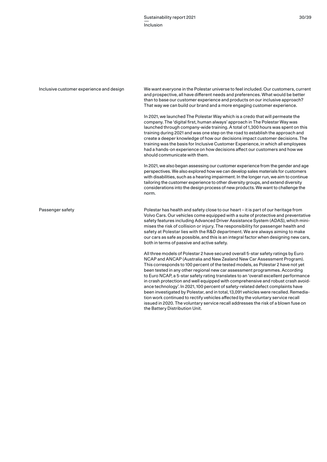| Inclusive customer experience and design | We want everyone in the Polestar universe to feel included. Our customers, current<br>and prospective, all have different needs and preferences. What would be better<br>than to base our customer experience and products on our inclusive approach?<br>That way we can build our brand and a more engaging customer experience.                                                                                                                                                                                                                                                                                       |  |  |
|------------------------------------------|-------------------------------------------------------------------------------------------------------------------------------------------------------------------------------------------------------------------------------------------------------------------------------------------------------------------------------------------------------------------------------------------------------------------------------------------------------------------------------------------------------------------------------------------------------------------------------------------------------------------------|--|--|
|                                          | In 2021, we launched The Polestar Way which is a credo that will permeate the<br>company. The 'digital first, human always' approach in The Polestar Way was<br>launched through company-wide training. A total of 1,300 hours was spent on this<br>training during 2021 and was one step on the road to establish the approach and<br>create a deeper knowledge of how our decisions impact customer decisions. The<br>training was the basis for Inclusive Customer Experience, in which all employees<br>had a hands-on experience on how decisions affect our customers and how we<br>should communicate with them. |  |  |
|                                          | In 2021, we also began assessing our customer experience from the gender and age<br>perspectives. We also explored how we can develop sales materials for customers<br>with disabilities, such as a hearing impairment. In the longer run, we aim to continue<br>tailoring the customer experience to other diversity groups, and extend diversity<br>considerations into the design process of new products. We want to challenge the<br>norm.                                                                                                                                                                         |  |  |
| Passenger safety                         | Polestar has health and safety close to our heart – it is part of our heritage from<br>Volvo Cars. Our vehicles come equipped with a suite of protective and preventative<br>safety features including Advanced Driver Assistance System (ADAS), which mini-<br>mises the risk of collision or injury. The responsibility for passenger health and<br>safety at Polestar lies with the R&D department. We are always aiming to make<br>our cars as safe as possible, and this is an integral factor when designing new cars,<br>both in terms of passive and active safety.                                             |  |  |
|                                          | All three models of Polestar 2 have secured overall 5-star safety ratings by Euro<br>NCAP and ANCAP (Australia and New Zealand New Car Assessment Program).<br>This corresponds to 100 percent of the tested models, as Polestar 2 have not yet<br>been tested in any other regional new car assessment programmes. According<br>to Euro NCAP, a 5-star safety rating translates to an 'overall excellent performance<br>in crash protection and well equipped with comprehensive and robust crash avoid-                                                                                                               |  |  |

the Battery Distribution Unit.

ance technology'. In 2021, 100 percent of safety-related defect complaints have been investigated by Polestar, and in total, 13,091 vehicles were recalled. Remediation work continued to rectify vehicles affected by the voluntary service recall issued in 2020. The voluntary service recall addresses the risk of a blown fuse on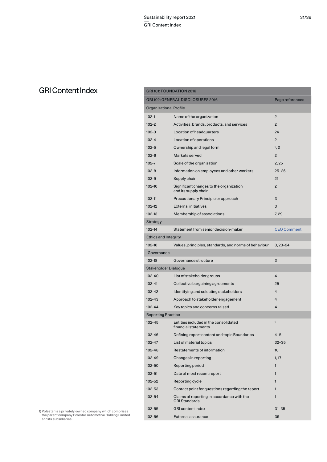# GRI Content Index

|                               | GRI 101: FOUNDATION 2016                                           |                    |
|-------------------------------|--------------------------------------------------------------------|--------------------|
|                               | GRI 102: GENERAL DISCLOSURES 2016                                  | Page references    |
| <b>Organizational Profile</b> |                                                                    |                    |
| $102 - 1$                     | Name of the organization                                           | $\overline{2}$     |
| $102 - 2$                     | Activities, brands, products, and services                         | $\overline{2}$     |
| $102 - 3$                     | Location of headquarters                                           | 24                 |
| $102 - 4$                     | Location of operations                                             | $\overline{2}$     |
| $102 - 5$                     | Ownership and legal form                                           | $^{10}$ , 2        |
| $102 - 6$                     | Markets served                                                     | $\overline{2}$     |
| $102 - 7$                     | Scale of the organization                                          | 2,25               |
| $102 - 8$                     | Information on employees and other workers                         | $25 - 26$          |
| $102 - 9$                     | Supply chain                                                       | 21                 |
| 102-10                        | Significant changes to the organization<br>and its supply chain    | $\overline{2}$     |
| $102 - 11$                    | Precautionary Principle or approach                                | 3                  |
| 102-12                        | <b>External initiatives</b>                                        | 3                  |
| 102-13                        | Membership of associations                                         | 7, 29              |
| Strategy                      |                                                                    |                    |
| $102 - 14$                    | Statement from senior decision-maker                               | <b>CEO Comment</b> |
| <b>Ethics and Integrity</b>   |                                                                    |                    |
| 102-16                        | Values, principles, standards, and norms of behaviour              | $3.23 - 24$        |
| Governance                    |                                                                    |                    |
| 102-18                        | Governance structure                                               | 3                  |
| Stakeholder Dialogue          |                                                                    |                    |
| 102-40                        | List of stakeholder groups                                         | $\overline{4}$     |
| $102 - 41$                    | Collective bargaining agreements                                   | 25                 |
| 102-42                        | Identifying and selecting stakeholders                             | 4                  |
| 102-43                        | Approach to stakeholder engagement                                 | 4                  |
| 102-44                        | Key topics and concerns raised                                     | $\overline{4}$     |
| <b>Reporting Practice</b>     |                                                                    |                    |
| 102-45                        | Entities included in the consolidated<br>financial statements      | 1)                 |
| 102-46                        | Defining report content and topic Boundaries                       | $4 - 5$            |
| $102 - 47$                    | List of material topics                                            | $32 - 35$          |
| 102-48                        | Restatements of information                                        | 10                 |
| 102-49                        | Changes in reporting                                               | 1, 17              |
| 102-50                        | Reporting period                                                   | 1                  |
| $102 - 51$                    | Date of most recent report                                         | 1                  |
| 102-52                        | Reporting cycle                                                    | 1                  |
| $102 - 53$                    | Contact point for questions regarding the report                   | 1                  |
| 102-54                        | Claims of reporting in accordance with the<br><b>GRI Standards</b> | 1                  |
| 102-55                        | <b>GRI</b> content index                                           | $31 - 35$          |
| 102-56                        | External assurance                                                 | 39                 |

1) Polestar is a privately-owned company which comprises the parent company Polestar Automotive Holding Limited and its subsidiaries.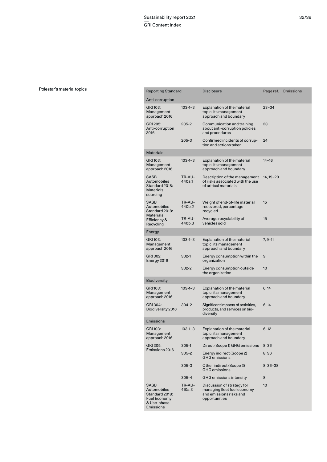# Polestar's material topics

| Reporting Standard                                                                       |                  | <b>Disclosure</b>                                                                                     | Page ref.   | Omissions |  |
|------------------------------------------------------------------------------------------|------------------|-------------------------------------------------------------------------------------------------------|-------------|-----------|--|
| Anti-corruption                                                                          |                  |                                                                                                       |             |           |  |
| GRI 103:<br>Management<br>approach 2016                                                  | $103 - 1 - 3$    | <b>Explanation of the material</b><br>topic, its management<br>approach and boundary                  | $23 - 34$   |           |  |
| GRI 205:<br>Anti-corruption<br>2016                                                      | $205 - 2$        | Communication and training<br>about anti-corruption policies<br>and procedures                        | 23          |           |  |
|                                                                                          | $205 - 3$        | Confirmed incidents of corrup-<br>tion and actions taken                                              | 24          |           |  |
| <b>Materials</b>                                                                         |                  |                                                                                                       |             |           |  |
| GRI 103:<br>Management<br>approach 2016                                                  | $103 - 1 - 3$    | <b>Explanation of the material</b><br>topic, its management<br>approach and boundary                  | $14 - 16$   |           |  |
| SASB<br>Automobiles<br>Standard 2018:<br><b>Materials</b><br>sourcing                    | TR-AU-<br>440a.1 | Description of the management<br>of risks associated with the use<br>of critical materials            | 14, 19–20   |           |  |
| <b>SASB</b><br>Automobiles<br>Standard 2018:<br><b>Materials</b>                         | TR-AU-<br>440b.2 | Weight of end-of-life material<br>recovered, percentage<br>recycled                                   | 15          |           |  |
| Efficiency &<br>Recycling                                                                | TR-AU-<br>440b.3 | Average recyclability of<br>vehicles sold                                                             | 15          |           |  |
| Energy                                                                                   |                  |                                                                                                       |             |           |  |
| GRI 103:<br>Management<br>approach 2016                                                  | $103 - 1 - 3$    | <b>Explanation of the material</b><br>topic, its management<br>approach and boundary                  | $7, 9 - 11$ |           |  |
| GRI 302:<br>Energy 2016                                                                  | $302 - 1$        | Energy consumption within the<br>organization                                                         | 9           |           |  |
|                                                                                          | $302 - 2$        | Energy consumption outside<br>the organization                                                        | 10          |           |  |
| <b>Biodiversity</b>                                                                      |                  |                                                                                                       |             |           |  |
| GRI 103:<br>Management<br>approach 2016                                                  | $103 - 1 - 3$    | <b>Explanation of the material</b><br>topic, its management<br>approach and boundary                  | 6, 14       |           |  |
| GRI 304:<br>Biodiversity 2016                                                            | $304 - 2$        | Significant impacts of activities,<br>products, and services on bio-<br>diversity                     | 6, 14       |           |  |
| <b>Emissions</b>                                                                         |                  |                                                                                                       |             |           |  |
| GRI 103:<br>Management<br>approach 2016                                                  | $103 - 1 - 3$    | <b>Explanation of the material</b><br>topic, its management<br>approach and boundary                  | $6 - 12$    |           |  |
| GRI 305:                                                                                 | $305 - 1$        | Direct (Scope 1) GHG emissions                                                                        | 8,36        |           |  |
| Emissions 2016                                                                           | $305 - 2$        | Energy indirect (Scope 2)<br><b>GHG</b> emissions                                                     | 8,36        |           |  |
|                                                                                          | $305 - 3$        | Other indirect (Scope 3)<br><b>GHG</b> emissions                                                      | 8,36-38     |           |  |
|                                                                                          | 305-4            | GHG emissions intensity                                                                               | 8           |           |  |
| SASB<br>Automobiles<br>Standard 2018:<br><b>Fuel Economy</b><br>& Use-phase<br>Emissions | TR-AU-<br>410a.3 | Discussion of strategy for<br>managing fleet fuel economy<br>and emissions risks and<br>opportunities | 10          |           |  |
|                                                                                          |                  |                                                                                                       |             |           |  |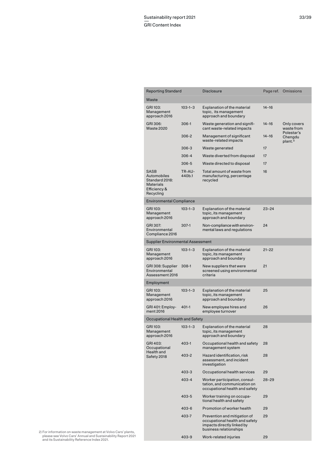| <b>Reporting Standard</b>                                                              |                  | Disclosure                                                                                                             | Page ref. | Omissions                                     |
|----------------------------------------------------------------------------------------|------------------|------------------------------------------------------------------------------------------------------------------------|-----------|-----------------------------------------------|
| Waste                                                                                  |                  |                                                                                                                        |           |                                               |
| GRI 103:<br>Management<br>approach 2016                                                | $103 - 1 - 3$    | <b>Explanation of the material</b><br>topic, its management<br>approach and boundary                                   | $14 - 16$ |                                               |
| GRI 306:<br><b>Waste 2020</b>                                                          | 306-1            | Waste generation and signifi-<br>cant waste-related impacts                                                            | $14 - 16$ | Only covers<br>waste from                     |
|                                                                                        | $306 - 2$        | Management of significant<br>waste-related impacts                                                                     | $14 - 16$ | Polestar's<br>Chengdu<br>plant. <sup>2)</sup> |
|                                                                                        | 306-3            | Waste generated                                                                                                        | 17        |                                               |
|                                                                                        | 306-4            | Waste diverted from disposal                                                                                           | 17        |                                               |
|                                                                                        | 306-5            | Waste directed to disposal                                                                                             | 17        |                                               |
| SASB<br>Automobiles<br>Standard 2018:<br><b>Materials</b><br>Efficiency &<br>Recycling | TR-AU-<br>440b.1 | Total amount of waste from<br>manufacturing, percentage<br>recycled                                                    | 16        |                                               |
| <b>Environmental Compliance</b>                                                        |                  |                                                                                                                        |           |                                               |
| GRI 103:<br>Management<br>approach 2016                                                | $103 - 1 - 3$    | Explanation of the material<br>topic, its management<br>approach and boundary                                          | 23-24     |                                               |
| GRI 307:<br>Environmental<br>Compliance 2016                                           | 307-1            | Non-compliance with environ-<br>mental laws and regulations                                                            | 24        |                                               |
| Supplier Environmental Assessment                                                      |                  |                                                                                                                        |           |                                               |
| GRI 103:<br>Management<br>approach 2016                                                | $103 - 1 - 3$    | <b>Explanation of the material</b><br>topic, its management<br>approach and boundary                                   | $21 - 22$ |                                               |
| GRI 308: Supplier<br>Environmental<br>Assessment 2016                                  | $308-1$          | New suppliers that were<br>screened using environmental<br>criteria                                                    | 21        |                                               |
| Employment                                                                             |                  |                                                                                                                        |           |                                               |
| GRI 103:<br>Management<br>approach 2016                                                | $103 - 1 - 3$    | <b>Explanation of the material</b><br>topic, its management<br>approach and boundary                                   | 25        |                                               |
| GRI 401: Employ-<br>ment 2016                                                          | $401 - 1$        | New employee hires and<br>employee turnover                                                                            | 26        |                                               |
| Occupational Health and Safety                                                         |                  |                                                                                                                        |           |                                               |
| GRI 103:<br>Management<br>approach 2016                                                | $103 - 1 - 3$    | Explanation of the material<br>topic, its management<br>approach and boundary                                          | 28        |                                               |
| GRI 403:<br>Occupational<br>Health and                                                 | 403-1            | Occupational health and safety<br>management system                                                                    | 28        |                                               |
| Safety 2018                                                                            | 403-2            | Hazard identification, risk<br>assessment, and incident<br>investigation                                               | 28        |                                               |
|                                                                                        | 403-3            | Occupational health services                                                                                           | 29        |                                               |
|                                                                                        | 403-4            | Worker participation, consul-<br>tation, and communication on<br>occupational health and safety                        | $28 - 29$ |                                               |
|                                                                                        | 403-5            | Worker training on occupa-<br>tional health and safety                                                                 | 29        |                                               |
|                                                                                        | 403-6            | Promotion of worker health                                                                                             | 29        |                                               |
|                                                                                        | 403-7            | Prevention and mitigation of<br>occupational health and safety<br>impacts directly linked by<br>business relationships | 29        |                                               |
|                                                                                        | 403-9            | Work-related injuries                                                                                                  | 29        |                                               |

2) For information on waste management at Volvo Cars' plants, please see Volvo Cars' Annual and Sustainability Report 2021 and its Sustainability Reference Index 2021.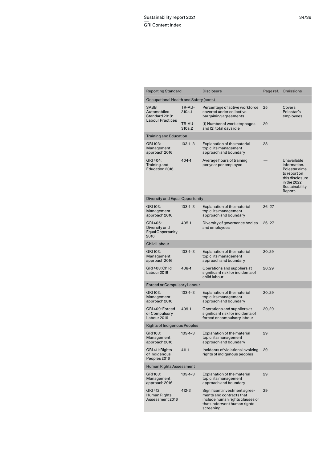| <b>Reporting Standard</b>                                        |                  | <b>Disclosure</b>                                                                                                                        | Page ref. | Omissions                                                                                                                   |
|------------------------------------------------------------------|------------------|------------------------------------------------------------------------------------------------------------------------------------------|-----------|-----------------------------------------------------------------------------------------------------------------------------|
| Occupational Health and Safety (cont.)                           |                  |                                                                                                                                          |           |                                                                                                                             |
| SASB<br>Automobiles<br>Standard 2018:<br><b>Labour Practices</b> | TR-AU-<br>310a.1 | Percentage of active workforce<br>covered under collective<br>bargaining agreements                                                      | 25        | Covers<br>Polestar's<br>employees.                                                                                          |
|                                                                  | TR-AU-<br>310a.2 | (1) Number of work stoppages<br>and (2) total days idle                                                                                  | 29        |                                                                                                                             |
| <b>Training and Education</b>                                    |                  |                                                                                                                                          |           |                                                                                                                             |
| GRI 103:<br>Management<br>approach 2016                          | $103 - 1 - 3$    | <b>Explanation of the material</b><br>topic, its management<br>approach and boundary                                                     | 28        |                                                                                                                             |
| GRI 404:<br>$404 - 1$<br>Training and<br><b>Education 2016</b>   |                  | Average hours of training<br>per year per employee                                                                                       |           | Unavailable<br>information.<br>Polestar aims<br>to report on<br>this disclosure<br>in the 2022<br>Sustainability<br>Report. |
| Diversity and Equal Opportunity                                  |                  |                                                                                                                                          |           |                                                                                                                             |
| GRI 103:<br>Management<br>approach 2016                          | $103 - 1 - 3$    | <b>Explanation of the material</b><br>topic, its management<br>approach and boundary                                                     | $26 - 27$ |                                                                                                                             |
| GRI 405:<br>Diversity and<br><b>Equal Opportunity</b><br>2016    | 405-1            | Diversity of governance bodies<br>and employees                                                                                          | $26 - 27$ |                                                                                                                             |
| <b>Child Labour</b>                                              |                  |                                                                                                                                          |           |                                                                                                                             |
| GRI 103:<br>Management<br>approach 2016                          | $103 - 1 - 3$    | <b>Explanation of the material</b><br>topic, its management<br>approach and boundary                                                     | 20,29     |                                                                                                                             |
| GRI 408: Child<br>Labour 2016                                    | 408-1            | Operations and suppliers at<br>significant risk for incidents of<br>child labour                                                         | 20,29     |                                                                                                                             |
| <b>Forced or Compulsory Labour</b>                               |                  |                                                                                                                                          |           |                                                                                                                             |
| GRI 103:<br>Management<br>approach 2016                          | $103 - 1 - 3$    | <b>Explanation of the material</b><br>topic, its management<br>approach and boundary                                                     | 20,29     |                                                                                                                             |
| GRI 409: Forced<br>or Compulsory<br>Labour 2016                  | 409-1            | Operations and suppliers at<br>significant risk for incidents of<br>forced or compulsory labour                                          | 20,29     |                                                                                                                             |
| <b>Rights of Indigenous Peoples</b>                              |                  |                                                                                                                                          |           |                                                                                                                             |
| GRI 103:<br>Management<br>approach 2016                          | $103 - 1 - 3$    | Explanation of the material<br>topic, its management<br>approach and boundary                                                            | 29        |                                                                                                                             |
| GRI 411: Rights<br>of Indigenous<br>Peoples 2016                 | $411 - 1$        | Incidents of violations involving<br>rights of indigenous peoples                                                                        | 29        |                                                                                                                             |
| Human Rights Assessment                                          |                  |                                                                                                                                          |           |                                                                                                                             |
| GRI 103:<br>Management<br>approach 2016                          | $103 - 1 - 3$    | <b>Explanation of the material</b><br>topic, its management<br>approach and boundary                                                     | 29        |                                                                                                                             |
| GRI 412:<br>Human Rights<br>Assessment 2016                      | 412-3            | Significant investment agree-<br>ments and contracts that<br>include human rights clauses or<br>that underwent human rights<br>screening | 29        |                                                                                                                             |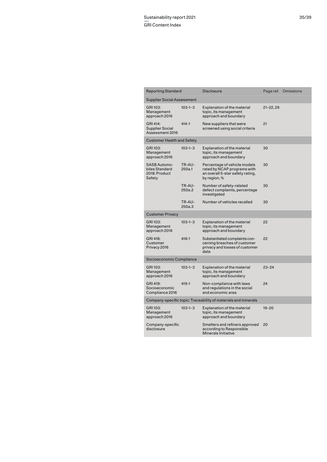|                                                                | <b>Reporting Standard</b>                                        |                  | <b>Disclosure</b>                                                                                               |               | Page ref. Omissions |
|----------------------------------------------------------------|------------------------------------------------------------------|------------------|-----------------------------------------------------------------------------------------------------------------|---------------|---------------------|
|                                                                | <b>Supplier Social Assessment</b>                                |                  |                                                                                                                 |               |                     |
|                                                                | GRI 103:<br>Management<br>approach 2016                          | $103 - 1 - 3$    | <b>Explanation of the material</b><br>topic, its management<br>approach and boundary                            | $21 - 22, 29$ |                     |
|                                                                | GRI 414:<br><b>Supplier Social</b><br>Assessment 2016            | $414 - 1$        | New suppliers that were<br>screened using social criteria                                                       | 21            |                     |
|                                                                | <b>Customer Health and Safety</b>                                |                  |                                                                                                                 |               |                     |
|                                                                | GRI 103:<br>Management<br>approach 2016                          | $103 - 1 - 3$    | <b>Explanation of the material</b><br>topic, its management<br>approach and boundary                            | 30            |                     |
|                                                                | <b>SASB Automo-</b><br>biles Standard<br>2018: Product<br>Safety | TR-AU-<br>250a.1 | Percentage of vehicle models<br>rated by NCAP programs with<br>an overall 5-star safety rating,<br>by region, % | 30            |                     |
|                                                                |                                                                  | TR-AU-<br>250a.2 | Number of safety-related<br>defect complaints, percentage<br>investigated                                       | 30            |                     |
|                                                                |                                                                  | TR-AU-<br>250a.3 | Number of vehicles recalled                                                                                     | 30            |                     |
| <b>Customer Privacy</b>                                        |                                                                  |                  |                                                                                                                 |               |                     |
|                                                                | GRI 103:<br>Management<br>approach 2016                          | $103 - 1 - 3$    | <b>Explanation of the material</b><br>topic, its management<br>approach and boundary                            | 22            |                     |
|                                                                | GRI 418:<br>Customer<br>Privacy 2016                             | 418-1            | Substantiated complaints con-<br>cerning breaches of customer<br>privacy and losses of customer<br>data         | 22            |                     |
| Socioeconomic Compliance                                       |                                                                  |                  |                                                                                                                 |               |                     |
|                                                                | GRI 103:<br>Management<br>approach 2016                          | $103 - 1 - 3$    | Explanation of the material<br>topic, its management<br>approach and boundary                                   | $23 - 24$     |                     |
|                                                                | GRI 419:<br>Socioeconomic<br>Compliance 2016                     | $419 - 1$        | Non-compliance with laws<br>and regulations in the social<br>and economic area                                  | 24            |                     |
| Company-specific topic: Traceability of materials and minerals |                                                                  |                  |                                                                                                                 |               |                     |
|                                                                | GRI 103:<br>Management<br>approach 2016                          | $103 - 1 - 3$    | <b>Explanation of the material</b><br>topic, its management<br>approach and boundary                            | $19 - 20$     |                     |
|                                                                | Company-specific<br>disclosure                                   |                  | Smelters and refiners approved<br>according to Responsible<br><b>Minerals Initiative</b>                        | 20            |                     |
|                                                                |                                                                  |                  |                                                                                                                 |               |                     |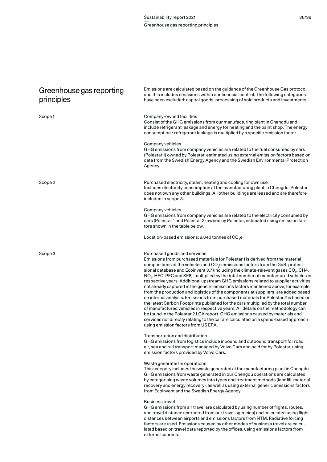| Greenhouse gas reporting<br>principles | Emissions are calculated based on the guidance of the Greenhouse Gas protocol<br>and this includes emissions within our financial control. The following categories<br>have been excluded: capital goods, processing of sold products and investments.                                                                                                                                                                                                                                                                                                                                                                                                                                                                                                                                                                                                                                                                                                                                                                                                                                                                                                |
|----------------------------------------|-------------------------------------------------------------------------------------------------------------------------------------------------------------------------------------------------------------------------------------------------------------------------------------------------------------------------------------------------------------------------------------------------------------------------------------------------------------------------------------------------------------------------------------------------------------------------------------------------------------------------------------------------------------------------------------------------------------------------------------------------------------------------------------------------------------------------------------------------------------------------------------------------------------------------------------------------------------------------------------------------------------------------------------------------------------------------------------------------------------------------------------------------------|
| Scope 1                                | Company-owned facilities<br>Consist of the GHG emissions from our manufacturing plant in Chengdu and<br>include refrigerant leakage and energy for heating and the paint shop. The energy<br>consumption / refrigerant leakage is multiplied by a specific emission factor.                                                                                                                                                                                                                                                                                                                                                                                                                                                                                                                                                                                                                                                                                                                                                                                                                                                                           |
|                                        | Company vehicles<br>GHG emissions from company vehicles are related to the fuel consumed by cars<br>(Polestar 1) owned by Polestar, estimated using external emission factors based on<br>data from the Swedish Energy Agency and the Swedish Environmental Protection<br>Agency.                                                                                                                                                                                                                                                                                                                                                                                                                                                                                                                                                                                                                                                                                                                                                                                                                                                                     |
| Scope 2                                | Purchased electricity, steam, heating and cooling for own use<br>Includes electricity consumption at the manufacturing plant in Chengdu. Polestar<br>does not own any other buildings. All other buildings are leased and are therefore<br>included in scope 3.                                                                                                                                                                                                                                                                                                                                                                                                                                                                                                                                                                                                                                                                                                                                                                                                                                                                                       |
|                                        | Company vehicles<br>GHG emissions from company vehicles are related to the electricity consumed by<br>cars (Polestar 1 and Polestar 2) owned by Polestar, estimated using emission fac-<br>tors shown in the table below.                                                                                                                                                                                                                                                                                                                                                                                                                                                                                                                                                                                                                                                                                                                                                                                                                                                                                                                             |
|                                        | Location-based emissions: 9,640 tonnes of $CO2e$                                                                                                                                                                                                                                                                                                                                                                                                                                                                                                                                                                                                                                                                                                                                                                                                                                                                                                                                                                                                                                                                                                      |
| Scope 3                                | Purchased goods and services<br>Emissions from purchased materials for Polestar 1 is derived from the material<br>compositions of the vehicles and $CO2e$ emissions factors from the GaBi profes-<br>sional database and Ecoinvent 3.7 (including the climate-relevant gases CO <sub>2</sub> , CH4,<br>NO <sub>2</sub> , HFC, PFC and SF6), multiplied by the total number of manufactured vehicles in<br>respective years. Additional upstream GHG emissions related to supplier activities<br>not already captured in the generic emissions factors mentioned above, for example<br>from the production and logistics of the components at suppliers, are added based<br>on internal analysis. Emissions from purchased materials for Polestar 2 is based on<br>the latest Carbon Footprints published for the cars multiplied by the total number<br>of manufactured vehicles in respective years. All details on the methodology can<br>be found in the Polestar 2 LCA report. GHG emissions caused by materials and<br>services not directly relating to the car are calculated on a spend-based approach<br>using emission factors from US EPA. |
|                                        | Transportation and distribution<br>GHG emissions from logistics include inbound and outbound transport for road,<br>air, sea and rail transport managed by Volvo Cars and paid for by Polestar, using<br>emission factors provided by Volvo Cars.                                                                                                                                                                                                                                                                                                                                                                                                                                                                                                                                                                                                                                                                                                                                                                                                                                                                                                     |
|                                        | Waste generated in operations<br>This category includes the waste generated at the manufacturing plant in Chengdu.<br>GHG emissions from waste generated in our Chengdu operations are calculated<br>by categorising waste volumes into types and treatment methods (landfill, material<br>recovery and energy recovery), as well as using external generic emissions factors<br>from Ecoinvent and the Swedish Energy Agency.                                                                                                                                                                                                                                                                                                                                                                                                                                                                                                                                                                                                                                                                                                                        |
|                                        | <b>Business travel</b><br>GHG emissions from air travel are calculated by using number of flights, routes,<br>and travel distance (extracted from our travel agencies) and calculated using flight<br>distances between airports and emissions factors from NTM. Radiative forcing<br>factors are used. Emissions caused by other modes of business travel are calcu-<br>lated based on travel data reported by the offices, using emissions factors from                                                                                                                                                                                                                                                                                                                                                                                                                                                                                                                                                                                                                                                                                             |

external sources.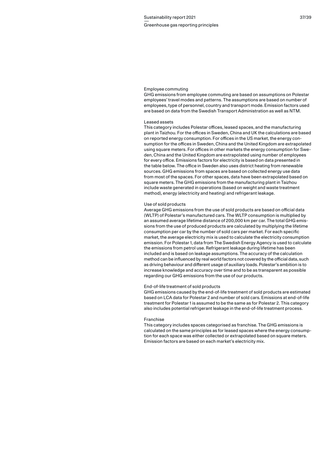#### Employee commuting

GHG emissions from employee commuting are based on assumptions on Polestar employees' travel modes and patterns. The assumptions are based on number of employees, type of personnel, country and transport mode. Emission factors used are based on data from the Swedish Transport Administration as well as NTM.

# Leased assets

This category includes Polestar offices, leased spaces, and the manufacturing plant in Taizhou. For the offices in Sweden, China and UK the calculations are based on reported energy consumption. For offices in the US market, the energy consumption for the offices in Sweden, China and the United Kingdom are extrapolated using square meters. For offices in other markets the energy consumption for Sweden, China and the United Kingdom are extrapolated using number of employees for every office. Emissions factors for electricity is based on data presented in the table below. The office in Sweden also uses district heating from renewable sources. GHG emissions from spaces are based on collected energy use data from most of the spaces. For other spaces, data have been extrapolated based on square meters. The GHG emissions from the manufacturing plant in Taizhou include waste generated in operations (based on weight and waste treatment method), energy (electricity and heating) and refrigerant leakage.

#### Use of sold products

Average GHG emissions from the use of sold products are based on official data (WLTP) of Polestar's manufactured cars. The WLTP consumption is multiplied by an assumed average lifetime distance of 200,000 km per car. The total GHG emissions from the use of produced products are calculated by multiplying the lifetime consumption per car by the number of sold cars per market. For each specific market, the average electricity mix is used to calculate the electricity consumption emission. For Polestar 1, data from The Swedish Energy Agency is used to calculate the emissions from petrol use. Refrigerant leakage during lifetime has been included and is based on leakage assumptions. The accuracy of the calculation method can be influenced by real world factors not covered by the official data, such as driving behaviour and different usage of auxiliary loads. Polestar's ambition is to increase knowledge and accuracy over time and to be as transparent as possible regarding our GHG emissions from the use of our products.

# End-of-life treatment of sold products

GHG emissions caused by the end-of-life treatment of sold products are estimated based on LCA data for Polestar 2 and number of sold cars. Emissions at end-of-life treatment for Polestar 1 is assumed to be the same as for Polestar 2. This category also includes potential refrigerant leakage in the end-of-life treatment process.

# Franchise

This category includes spaces categorised as franchise. The GHG emissions is calculated on the same principles as for leased spaces where the energy consumption for each space was either collected or extrapolated based on square meters. Emission factors are based on each market's electricity mix.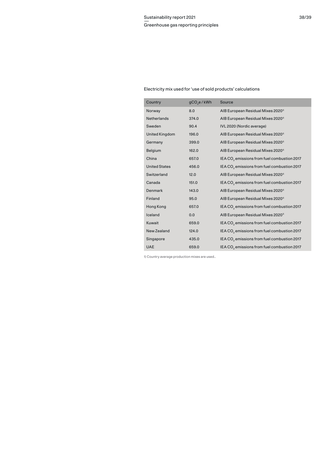# Electricity mix used for 'use of sold products' calculations

| Country               | gCO <sub>2</sub> e / kWh | Source                                                  |
|-----------------------|--------------------------|---------------------------------------------------------|
| Norway                | 8.0                      | AIB European Residual Mixes 2020 <sup>1)</sup>          |
| <b>Netherlands</b>    | 374.0                    | AIB European Residual Mixes 2020 <sup>1)</sup>          |
| Sweden                | 90.4                     | IVL 2020 (Nordic average)                               |
| <b>United Kingdom</b> | 196.0                    | AIB European Residual Mixes 2020 <sup>1)</sup>          |
| Germany               | 399.0                    | AIB European Residual Mixes 2020 <sup>1)</sup>          |
| <b>Belgium</b>        | 162.0                    | AIB European Residual Mixes 2020 <sup>1)</sup>          |
| China                 | 657.0                    | IEA CO <sub>2</sub> emissions from fuel combustion 2017 |
| <b>United States</b>  | 456.0                    | IEA CO <sub>2</sub> emissions from fuel combustion 2017 |
| Switzerland           | 12.0                     | AIB European Residual Mixes 2020 <sup>1)</sup>          |
| Canada                | 151.0                    | IEA CO <sub>2</sub> emissions from fuel combustion 2017 |
| Denmark               | 143.0                    | AIB European Residual Mixes 2020 <sup>1)</sup>          |
| Finland               | 95.0                     | AIB European Residual Mixes 2020 <sup>1)</sup>          |
| Hong Kong             | 657.0                    | IEA CO <sub>2</sub> emissions from fuel combustion 2017 |
| Iceland               | 0.0                      | AIB European Residual Mixes 2020 <sup>11</sup>          |
| Kuwait                | 659.0                    | IEA CO <sub>2</sub> emissions from fuel combustion 2017 |
| New Zealand           | 124.0                    | IEA CO <sub>2</sub> emissions from fuel combustion 2017 |
| Singapore             | 435.0                    | IEA CO <sub>2</sub> emissions from fuel combustion 2017 |
| <b>UAE</b>            | 659.0                    | IEA CO <sub>2</sub> emissions from fuel combustion 2017 |

1) Country average production mixes are used..